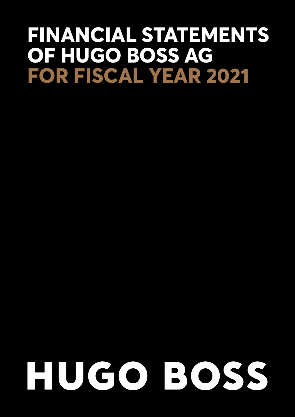# **FINANCIAL STATEMENTS OF HUGO BOSS AG FOR FISCAL YEAR 2021**

# HUGO BOSS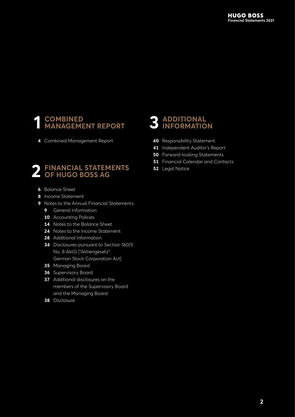#### **1 [COMBINED](#page-2-0)  [MANAGEMENT REPORT](#page-2-0)**

**4** [Combined Management Report](#page-3-0)

# **2 [FINANCIAL STATEMENTS](#page-4-0)  OF [HUGO BOSS AG](#page-4-0)**

- **6** [Balance Sheet](#page-5-0)
- **8** [Income Statement](#page-7-0)
- **9** [Notes to the Annual Financial Statements](#page-8-0)
	- **9** [General Information](#page-8-0)
	- **10** [Accounting Policies](#page-9-0)
	- 14 [Notes to the Balance Sheet](#page-13-0)
	- **24** [Notes to the Income Statement](#page-23-0)
	- **28** [Additional Information](#page-27-0)
	- **34** [Disclosures pursuant to Section 160\(1\)](#page-33-0)  No. [8 AktG \["Aktiengesetz":](#page-33-0)  [German Stock Corporation Act\]](#page-33-0)
	- **35** [Managing Board](#page-34-0)
	- **36** [Supervisory Board](#page-35-0)
	- **37** [Additional disclosures on the](#page-36-0)  members [of the Supervisory Board](#page-36-0)  and the [Managing](#page-36-0) Board
	- **38** [Disclosure](#page-37-0)

# **3 [ADDITIONAL](#page-38-0)  [INFORMATION](#page-38-0)**

- **40** [Responsibility Statement](#page-39-0)
- **41** [Independent Auditor's Report](#page-40-0)
- **50** [Forward-looking Statements](#page-49-0)
- **51** [Financial Calendar and Contacts](#page-50-0)
- **52** [Legal Notice](#page-51-0)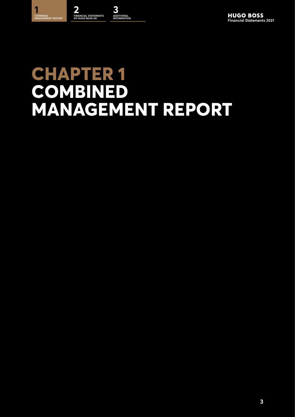



# <span id="page-2-0"></span>**CHAPTER 1 COMBINED MANAGEMENT REPORT**

**3**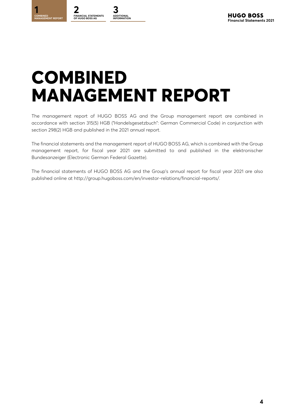<span id="page-3-0"></span>**2 [FINANCIAL STATEMENTS](#page-4-0)  OF HUGO BOSS AG**

**[3](#page-38-0) ADDITIONAL** 

# **COMBINED MANAGEMENT REPORT**

The management report of HUGO BOSS AG and the Group management report are combined in accordance with section 315(5) HGB ("Handelsgesetzbuch": German Commercial Code) in conjunction with section 298(2) HGB and published in the 2021 annual report.

The financial statements and the management report of HUGO BOSS AG, which is combined with the Group management report, for fiscal year 2021 are submitted to and published in the elektronischer Bundesanzeiger (Electronic German Federal Gazette).

The financial statements of HUGO BOSS AG and the Group's annual report for fiscal year 2021 are also published online at http://group.hugoboss.com/en/investor-relations/financial-reports/.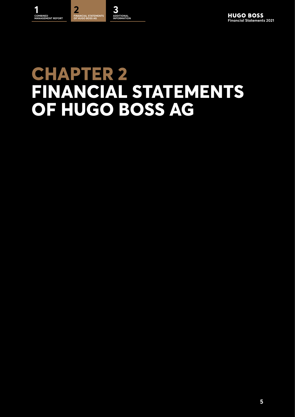

**INFORMATION**

# <span id="page-4-0"></span>**CHAPTER 2 FINANCIAL STATEMENTS OF HUGO BOSS AG**

**5**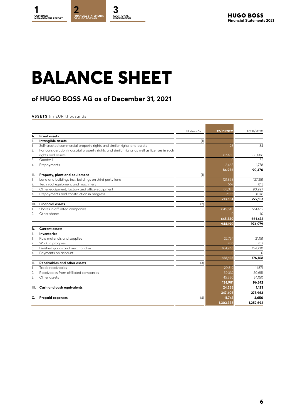# <span id="page-5-0"></span>**BALANCE SHEET**

# **of HUGO BOSS AG as of December 31, 2021**

#### **ASSETS** (in EUR thousands)

|                  |                                                                                             | Notes-No. | 12/31/2021     | 12/31/2020 |
|------------------|---------------------------------------------------------------------------------------------|-----------|----------------|------------|
| А.               | <b>Fixed assets</b>                                                                         |           |                |            |
| ı.               | Intangible assets                                                                           | (1)       |                |            |
| 1.               | Self-created commercial property rights and similar rights and assets                       |           | 28             | 34         |
| 2.               | For consideration industrial property rights and similar rights as well as licenses in such |           |                |            |
|                  | riahts and assets                                                                           |           | 82,460         | 88.606     |
| 3.               | Goodwill                                                                                    |           |                | 52         |
| 4                | Prepayments                                                                                 |           | 2,468          | 1,778      |
|                  |                                                                                             |           | 84,956         | 90,470     |
| П.               | Property, plant and equipment                                                               | (1)       |                |            |
| 1.               | Land and buildings incl. buildings on third party land                                      |           | 121,858        | 127,251    |
| $\overline{2}$   | Technical equipment and machinery                                                           |           | 567            | 813        |
| 3.               | Other equipment, factory and office equipment                                               |           | 88,328         | 90,997     |
| 4.               | Prepayments and construction in progress                                                    |           | 2.93           | 3,076      |
|                  |                                                                                             |           | 213,684        | 222,137    |
| III.             | <b>Financial assets</b>                                                                     | (2)       |                |            |
| 1.               | Shares in affiliated companies                                                              |           | 645,540        | 661,462    |
| 2.               | Other shares                                                                                |           | 1 <sup>c</sup> | 10         |
|                  |                                                                                             |           | 645,550        | 661,472    |
|                  |                                                                                             |           | 944,190        | 974,079    |
| В.               | <b>Current assets</b>                                                                       |           |                |            |
| ı.               | <b>Inventories</b>                                                                          |           |                |            |
| 1.               | Raw materials and supplies                                                                  |           | 22.754         | 21,151     |
| $\overline{2}$ . | Work in progress                                                                            |           | 436            | 287        |
| 3.               | Finished goods and merchandise                                                              |           | 164,946        | 154,730    |
| 4.               | Payments on account                                                                         |           |                | $\Omega$   |
|                  |                                                                                             |           | 188,136        | 176,168    |
| П.               | Receivables and other assets                                                                | (3)       |                |            |
| 1.               | Trade receivables                                                                           |           | 29.819         | 11.871     |
| $\overline{2}$ . | Receivables from affiliated companies                                                       |           | 59,332         | 50,651     |
| 3.               | Other assets                                                                                |           | 45,83C         | 34.150     |
|                  |                                                                                             |           | 134,981        | 96,672     |
| Ш.               | Cash and cash equivalents                                                                   |           | 24,288         | 1,123      |
|                  |                                                                                             |           | 347,405        | 273,963    |
|                  | Prepaid expenses                                                                            | (4)       | 11,743         | 4,650      |
|                  |                                                                                             |           | 1,303,338      | 1,252,692  |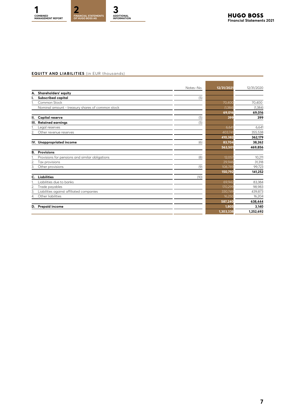#### **EQUITY AND LIABILITIES** (in EUR thousands)

|                |                                                  | Notes-No. | 12/31/2021 | 12/31/2020 |
|----------------|--------------------------------------------------|-----------|------------|------------|
| А.             | Shareholders' equity                             |           |            |            |
| ı.             | Subscribed capital                               | (5)       |            |            |
|                | Common Stock                                     |           | 70,400     | 70,400     |
|                | Nominal amount - treasury shares of common stock |           | (1, 384)   | (1, 384)   |
|                |                                                  |           | 69,016     | 69,016     |
| н.             | <b>Capital reserve</b>                           | (5)       | 399        | 399        |
|                | III. Retained earnings                           | (5)       |            |            |
|                | egal reserves                                    |           | 6,64       | 6,641      |
| 2.             | Other revenue reserves                           |           | 403,74     | 355,538    |
|                |                                                  |           | 410,382    | 362,179    |
|                | IV. Unappropriated income                        | (6)       | 83,704     | 38,262     |
|                |                                                  |           | 563,501    | 469,856    |
| В.             | <b>Provisions</b>                                |           |            |            |
|                | Provisions for pensions and similar obligations  | (8)       | 12,057     | 10,211     |
| $\overline{2}$ | Tax provisions                                   |           | 29,946     | 31,318     |
| 3.             | Other provisions                                 | (9)       | 108,789    | 99,723     |
|                |                                                  |           | 150,792    | 141,252    |
| C.             | <b>Liabilities</b>                               | (10)      |            |            |
|                | Liabilities due to banks                         |           | 69,942     | 83,384     |
| $\overline{2}$ | Trade payables                                   |           | 170,299    | 98,983     |
| 3              | Liabilities against affiliated companies         |           | 330,749    | 439,873    |
| 4.             | Other liabilities                                |           | 16,25C     | 16,204     |
|                |                                                  |           | 587,240    | 638,444    |
| D.             | <b>Prepaid income</b>                            |           | 1,805      | 3,140      |
|                |                                                  |           | 1,303,338  | 1,252,692  |
|                |                                                  |           |            |            |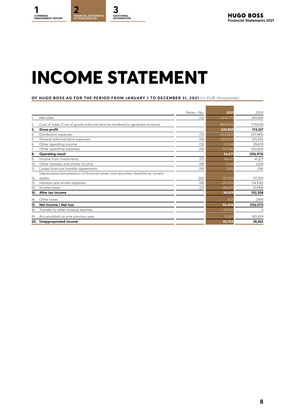# <span id="page-7-0"></span>**INCOME STATEMENT**

#### **OF HUGO BOSS AG FOR THE PERIOD FROM JANUARY 1 TO DECEMBER 31, 2 021** (in EUR thousands )

|     |                                                                                    | Notes - No. | 2021       | 2020       |
|-----|------------------------------------------------------------------------------------|-------------|------------|------------|
|     | Net sales                                                                          | (12)        | 1,300,773  | 893,841    |
| 2.  | Cost of Sales (Cost of goods sold and services rendered to generate revenue)       |             | (869, 924) | (719, 614) |
| 3.  | <b>Gross profit</b>                                                                |             | 430,849    | 174,227    |
| 4.  | Distribution expenses                                                              | (13)        | (263, 360) | (211, 985) |
| 5.  | General administrative expenses                                                    | (14)        | (104, 220) | (93, 210)  |
| 6.  | Other operating income                                                             | (15)        | 53,568     | 39,678     |
| 7.  | Other operating expenses                                                           | (16)        | (52, 166)  | (65, 682)  |
| 8.  | <b>Operating result</b>                                                            |             | 64,671     | (156, 972) |
| 9.  | Income from investments                                                            | (17)        | 84,47      | 41,327     |
| 10. | Other interests and similar income                                                 | (18)        | 2,626      | 1,658      |
| 11. | Losses from loss transfer agreements                                               | (19)        | (293)      | (116)      |
|     | Depreciation/amortization of financial assets and securities classified as current |             |            |            |
| 12. | assets                                                                             | (20)        | (15, 922)  | (17, 291)  |
| 13. | Interests and similar expenses                                                     | (18)        | (20, 105)  | (14,930)   |
| 14. | Income taxes                                                                       | (21)        | (18, 629)  | (5,984)    |
| 15. | After tax income                                                                   |             | 96,819     | 152,308    |
| 16. | Other taxes                                                                        |             | (413)      | (269)      |
| 17. | Net income / Net loss                                                              |             | 96,406     | (152, 577) |
| 18. | Transfer to other revenue reserves                                                 |             | $-48,203$  | $\circ$    |
| 19. | Accumulated income previous year                                                   |             | 35,501     | 190,839    |
| 20. | Unappropriated income                                                              |             | 83,704     | 38,262     |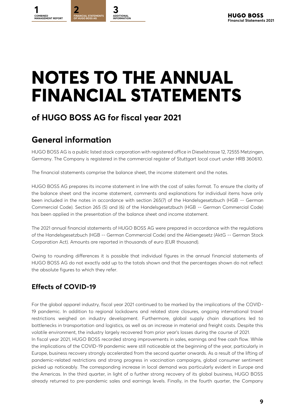# <span id="page-8-0"></span>**NOTES TO THE ANNUAL FINANCIAL STATEMENTS**

# **of HUGO BOSS AG for fiscal year 2021**

# **General information**

HUGO BOSS AG is a public listed stock corporation with registered office in Dieselstrasse 12, 72555 Metzingen, Germany. The Company is registered in the commercial register of Stuttgart local court under HRB 360610.

The financial statements comprise the balance sheet, the income statement and the notes.

HUGO BOSS AG prepares its income statement in line with the cost of sales format. To ensure the clarity of the balance sheet and the income statement, comments and explanations for individual items have only been included in the notes in accordance with section 265(7) of the Handelsgesetzbuch (HGB -- German Commercial Code). Section 265 (5) and (6) of the Handelsgesetzbuch (HGB -- German Commercial Code) has been applied in the presentation of the balance sheet and income statement.

The 2021 annual financial statements of HUGO BOSS AG were prepared in accordance with the regulations of the Handelsgesetzbuch (HGB -- German Commercial Code) and the Aktiengesetz (AktG -- German Stock Corporation Act). Amounts are reported in thousands of euro (EUR thousand).

Owing to rounding differences it is possible that individual figures in the annual financial statements of HUGO BOSS AG do not exactly add up to the totals shown and that the percentages shown do not reflect the absolute figures to which they refer.

# **Effects of COVID-19**

For the global apparel industry, fiscal year 2021 continued to be marked by the implications of the COVID-19 pandemic. In addition to regional lockdowns and related store closures, ongoing international travel restrictions weighed on industry development. Furthermore, global supply chain disruptions led to bottlenecks in transportation and logistics, as well as an increase in material and freight costs. Despite this volatile environment, the industry largely recovered from prior year's losses during the course of 2021.

In fiscal year 2021, HUGO BOSS recorded strong improvements in sales, earnings and free cash flow. While the implications of the COVID-19 pandemic were still noticeable at the beginning of the year, particularly in Europe, business recovery strongly accelerated from the second quarter onwards. As a result of the lifting of pandemic-related restrictions and strong progress in vaccination campaigns, global consumer sentiment picked up noticeably. The corresponding increase in local demand was particularly evident in Europe and the Americas. In the third quarter, in light of a further strong recovery of its global business, HUGO BOSS already returned to pre-pandemic sales and earnings levels. Finally, in the fourth quarter, the Company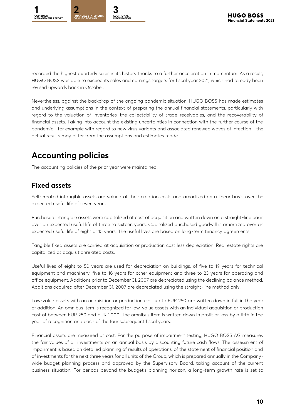<span id="page-9-0"></span>

recorded the highest quarterly sales in its history thanks to a further acceleration in momentum. As a result, HUGO BOSS was able to exceed its sales and earnings targets for fiscal year 2021, which had already been revised upwards back in October.

Nevertheless, against the backdrop of the ongoing pandemic situation, HUGO BOSS has made estimates and underlying assumptions in the context of preparing the annual financial statements, particularly with regard to the valuation of inventories, the collectability of trade receivables, and the recoverability of financial assets. Taking into account the existing uncertainties in connection with the further course of the pandemic - for example with regard to new virus variants and associated renewed waves of infection - the actual results may differ from the assumptions and estimates made.

# **Accounting policies**

The accounting policies of the prior year were maintained.

### **Fixed assets**

Self-created intangible assets are valued at their creation costs and amortized on a linear basis over the expected useful life of seven years.

Purchased intangible assets were capitalized at cost of acquisition and written down on a straight-line basis over an expected useful life of three to sixteen years. Capitalized purchased goodwill is amorti zed over an expected useful life of eight or 15 years. The useful lives are based on long-term tenancy agreements.

Tangible fixed assets are carried at acquisition or production cost less depreciation. Real estate rights are capitalized at acquisitionrelated costs.

Useful lives of eight to 50 years are used for depreciation on buildings, of five to 19 years for technical equipment and machinery, five to 16 years for other equipment and three to 23 years for operating and office equipment. Additions prior to December 31, 2007 are depreciated using the declining balance method. Additions acquired after December 31, 2007 are depreciated using the straight-line method only.

Low-value assets with an acquisition or production cost up to EUR 250 are written down in full in the year of addition. An omnibus item is recognized for low-value assets with an individual acquisition or production cost of between EUR 250 and EUR 1,000. The omnibus item is written down in profit or loss by a fifth in the year of recognition and each of the four subsequent fiscal years.

Financial assets are measured at cost. For the purpose of impairment testing, HUGO BOSS AG measures the fair values of all investments on an annual basis by discounting future cash flows. The assessment of impairment is based on detailed planning of results of operations, of the statement of financial position and of investments for the next three years for all units of the Group, which is prepared annually in the Companywide budget planning process and approved by the Supervisory Board, taking account of the current business situation. For periods beyond the budget's planning horizon, a long-term growth rate is set to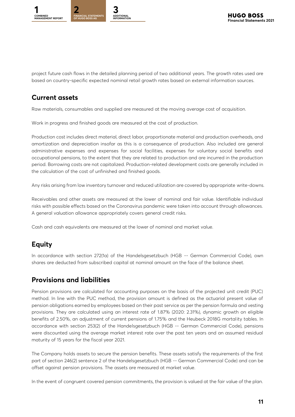

project future cash flows in the detailed planning period of two additional years. The growth rates used are based on country-specific expected nominal retail growth rates based on external information sources.

### **Current assets**

Raw materials, consumables and supplied are measured at the moving average cost of acquisition.

Work in progress and finished goods are measured at the cost of production.

Production cost includes direct material, direct labor, proportionate material and production overheads, and amortization and depreciation insofar as this is a consequence of production. Also included are general administrative expenses and expenses for social facilities, expenses for voluntary social benefits and occupational pensions, to the extent that they are related to production and are incurred in the production period. Borrowing costs are not capitalized. Production-related development costs are generally included in the calculation of the cost of unfinished and finished goods.

Any risks arising from low inventory turnover and reduced utilization are covered by appropriate write-downs.

Receivables and other assets are measured at the lower of nominal and fair value. Identifiable individual risks with possible effects based on the Coronavirus pandemic were taken into account through allowances. A general valuation allowance appropriately covers general credit risks.

Cash and cash equivalents are measured at the lower of nominal and market value.

## **Equity**

In accordance with section 272(1a) of the Handelsgesetzbuch (HGB -- German Commercial Code), own shares are deducted from subscribed capital at nominal amount on the face of the balance sheet.

## **Provisions and liabilities**

Pension provisions are calculated for accounting purposes on the basis of the projected unit credit (PUC) method. In line with the PUC method, the provision amount is defined as the actuarial present value of pension obligations earned by employees based on their past service as per the pension formula and vesting provisions. They are calculated using an interest rate of 1.87% (2020: 2.31%), dynamic growth on eligible benefits of 2.50%, an adjustment of current pensions of 1.75% and the Heubeck 2018G mortality tables. In accordance with section 253(2) of the Handelsgesetzbuch (HGB -- German Commercial Code), pensions were discounted using the average market interest rate over the past ten years and an assumed residual maturity of 15 years for the fiscal year 2021.

The Company holds assets to secure the pension benefits. These assets satisfy the requirements of the first part of section 246(2) sentence 2 of the Handelsgesetzbuch (HGB -- German Commercial Code) and can be offset against pension provisions. The assets are measured at market value.

In the event of congruent covered pension commitments, the provision is valued at the fair value of the plan.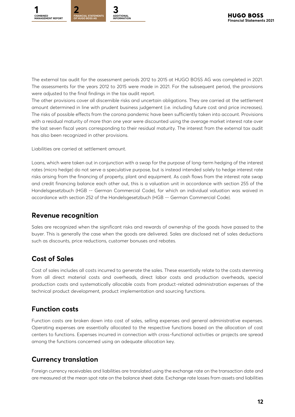The external tax audit for the assessment periods 2012 to 2015 at HUGO BOSS AG was completed in 2021. The assessments for the years 2012 to 2015 were made in 2021. For the subsequent period, the provisions were adjusted to the final findings in the tax audit report.

The other provisions cover all discernible risks and uncertain obligations. They are carried at the settlement amount determined in line with prudent business judgement (i.e. including future cost and price increases). The risks of possible effects from the corona pandemic have been sufficiently taken into account. Provisions with a residual maturity of more than one year were discounted using the average market interest rate over the last seven fiscal years corresponding to their residual maturity. The interest from the external tax audit has also been recognized in other provisions.

Liabilities are carried at settlement amount.

Loans, which were taken out in conjunction with a swap for the purpose of long-term hedging of the interest rates (micro hedge) do not serve a speculative purpose, but is instead intended solely to hedge interest rate risks arising from the financing of property, plant and equipment. As cash flows from the interest rate swap and credit financing balance each other out, this is a valuation unit in accordance with section 255 of the Handelsgesetzbuch (HGB -- German Commercial Code), for which an individual valuation was waived in accordance with section 252 of the Handelsgesetzbuch (HGB -- German Commercial Code).

### **Revenue recognition**

Sales are recognized when the significant risks and rewards of ownership of the goods have passed to the buyer. This is generally the case when the goods are delivered. Sales are disclosed net of sales deductions such as discounts, price reductions, customer bonuses and rebates.

# **Cost of Sales**

Cost of sales includes all costs incurred to generate the sales. These essentially relate to the costs stemming from all direct material costs and overheads, direct labor costs and production overheads, special production costs and systematically allocable costs from product-related administration expenses of the technical product development, product implementation and sourcing functions.

## **Function costs**

Function costs are broken down into cost of sales, selling expenses and general administrative expenses. Operating expenses are essentially allocated to the respective functions based on the allocation of cost centers to functions. Expenses incurred in connection with cross-functional activities or projects are spread among the functions concerned using an adequate allocation key.

## **Currency translation**

Foreign currency receivables and liabilities are translated using the exchange rate on the transaction date and are measured at the mean spot rate on the balance sheet date. Exchange rate losses from assets and liabilities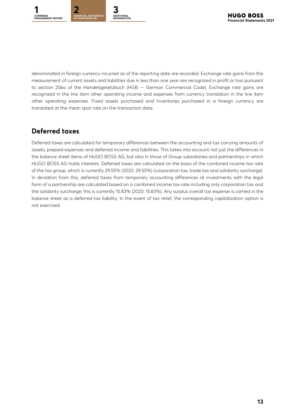denominated in foreign currency incurred as of the reporting date are recorded. Exchange rate gains from the measurement of current assets and liabilities due in less than one year are recognized in profit or loss pursuant to section 256a of the Handelsgesetzbuch (HGB -- German Commercial Code). Exchange rate gains are recognized in the line item other operating income and expenses from currency translation in the line item other operating expenses. Fixed assets purchased and inventories purchased in a foreign currency are translated at the mean spot rate on the transaction date.

# **Deferred taxes**

Deferred taxes are calculated for temporary differences between the accounting and tax carrying amounts of assets, prepaid expenses and deferred income and liabilities. This takes into account not just the differences in the balance sheet items of HUGO BOSS AG, but also in those of Group subsidiaries and partnerships in which HUGO BOSS AG holds interests. Deferred taxes are calculated on the basis of the combined income tax rate of the tax group, which is currently 29.55% (2020: 29.55%) (corporation tax, trade tax and solidarity surcharge). In deviation from this, deferred taxes from temporary accounting differences at investments with the legal form of a partnership are calculated based on a combined income tax rate including only corporation tax and the solidarity surcharge; this is currently 15.83% (2020: 15.83%). Any surplus overall tax expense is carried in the balance sheet as a deferred tax liability. In the event of tax relief, the corresponding capitalization option is not exercised.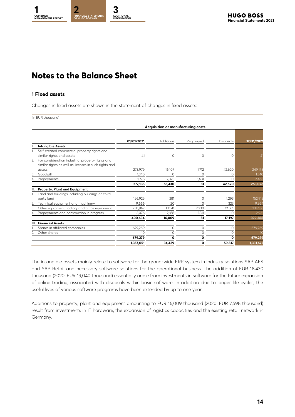# <span id="page-13-0"></span>**Notes to the Balance Sheet**

#### **1 Fixed assets**

Changes in fixed assets are shown in the statement of changes in fixed assets:

(in EUR thousand)

|    |                                                                                                           | <b>Acquisition or manufacturing costs</b> |           |           |                  |            |
|----|-----------------------------------------------------------------------------------------------------------|-------------------------------------------|-----------|-----------|------------------|------------|
|    |                                                                                                           | 01/01/2021                                | Additions | Regrouped | <b>Disposals</b> | 12/31/2021 |
| ı. | <b>Intangible Assets</b>                                                                                  |                                           |           |           |                  |            |
|    | Self-created commercial property rights and<br>similar rights and assets                                  | 41                                        | 0         | 0         | $\Omega$         | 41         |
| 2. | For consideration industrial property rights and<br>similar rights as well as licenses in such rights and |                                           |           |           |                  |            |
|    | assets                                                                                                    | 273,979                                   | 16,107    | 1,712     | 42,620           | 249,178    |
| 3. | Goodwill                                                                                                  | 1,340                                     | $\Omega$  | ∩         | $\bigcap$        | 1,340      |
| 4. | Prepayments                                                                                               | 1,778                                     | 2,323     | $-1,631$  |                  | 2,468      |
|    |                                                                                                           | 277,138                                   | 18,430    | 81        | 42,620           | 253,028    |
| П. | Property, Plant and Equipment                                                                             |                                           |           |           |                  |            |
|    | Land and buildings including buildings on third<br>party land                                             | 156,925                                   | 281       | $\Omega$  | 4,293            | 152,913    |
| 2. | Fechnical equipment and machinery                                                                         | 9,666                                     | 20        | $\Omega$  | 323              | 9,364      |
| 3. | Other equipment, factory and office equipment                                                             | 230,967                                   | 13,541    | 2,230     | 12,581           | 234,158    |
| 4. | Prepayments and construction in progress                                                                  | 3.076                                     | 2,166     | $-2,311$  | $\Omega$         | 2,931      |
|    |                                                                                                           | 400,634                                   | 16,009    | -81       | 17,197           | 399,366    |
| Ш. | <b>Financial Assets</b>                                                                                   |                                           |           |           |                  |            |
|    | Shares in affiliated companies                                                                            | 679,269                                   | $\circ$   | 0         | $\Omega$         | 679,269    |
|    | Other shares                                                                                              | 10                                        | $\Omega$  | 0         | Ω                | 10         |
|    |                                                                                                           | 679,279                                   | 0         | 0         | Ω                | 679,279    |
|    |                                                                                                           | 1,357,051                                 | 34,439    | 0         | 59,817           | 1,331,672  |

The intangible assets mainly relate to software for the group-wide ERP system in industry solutions SAP AFS and SAP Retail and necessary software solutions for the operational business. The addition of EUR 18,430 thousand (2020: EUR 19,040 thousand) essentially arose from investments in software for the future expansion of online trading, associated with disposals within basic software. In addition, due to longer life cycles, the useful lives of various software programs have been extended by up to one year.

Additions to property, plant and equipment amounting to EUR 16,009 thousand (2020: EUR 7,598 thousand) result from investments in IT hardware, the expansion of logistics capacities and the existing retail network in Germany.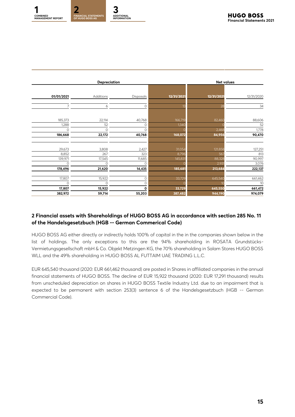|            | <b>Depreciation</b> |             |              |            |            |  | <b>Net values</b> |  |
|------------|---------------------|-------------|--------------|------------|------------|--|-------------------|--|
| 01/01/2021 | Additions           | Disposals   | 12/31/2021   | 12/31/2021 | 12/31/2020 |  |                   |  |
|            | 6                   | 0           |              | 28         | 34         |  |                   |  |
| 185,373    | 22,114              | 40,768      | 166,719      | 82,460     | 88,606     |  |                   |  |
| 1,288      | 52                  | 0           | <b>1,34C</b> |            | 52         |  |                   |  |
| $\circ$    | 0                   | $\Omega$    |              | 2,468      | 1,778      |  |                   |  |
| 186,668    | 22,172              | 40,768      | 168,072      | 84,956     | 90,470     |  |                   |  |
| 29,673     | 3,808               | 2,427       | 31,054       | 121,858    | 127,251    |  |                   |  |
| 8,852      | 267                 | 323         | 8,796        | 567        | 813        |  |                   |  |
| 139,971    | 17,545              | 11,685      | 145,83       | 88,328     | 90,997     |  |                   |  |
| $\circ$    | 0                   | $\Omega$    |              | 2,93'      | 3,076      |  |                   |  |
| 178,496    | 21,620              | 14,435      | 185,681      | 213,684    | 222,137    |  |                   |  |
| 17,807     | 15,922              | 0           | 33,729       | 645,540    | 661,462    |  |                   |  |
| 0          | 0                   | 0           |              |            | 10         |  |                   |  |
| 17,807     | 15,922              | $\mathbf 0$ | 33,729       | 645,550    | 661,472    |  |                   |  |
| 382,972    | 59,714              | 55,203      | 387,482      | 944,190    | 974,079    |  |                   |  |

#### **2 Financial assets with Shareholdings of HUGO BOSS AG in accordance with section 285 No. 11 of the Handelsgesetzbuch (HGB -- German Commerical Code)**

HUGO BOSS AG either directly or indirectly holds 100% of capital in the in the companies shown below in the list of holdings. The only exceptions to this are the 94% shareholding in ROSATA Grundstücks-Vermietungsgesellschaft mbH & Co. Objekt Metzingen KG, the 70% shareholding in Salam Stores HUGO BOSS WLL and the 49% shareholding in HUGO BOSS AL FUTTAIM UAE TRADING L.L.C.

EUR 645,540 thousand (2020: EUR 661,462 thousand) are posted in Shares in affiliated companies in the annual financial statements of HUGO BOSS. The decline of EUR 15,922 thousand (2020: EUR 17,291 thousand) results from unscheduled depreciation on shares in HUGO BOSS Textile Industry Ltd. due to an impairment that is expected to be permanent with section 253(3) sentence 6 of the Handelsgesetzbuch (HGB -- German Commercial Code).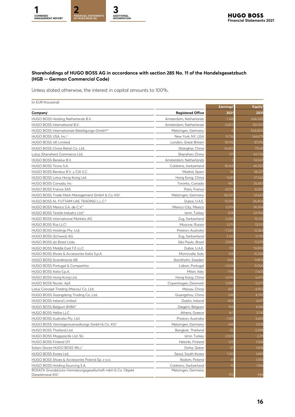#### **Shareholdings of HUGO BOSS AG in accordance with section 285 No. 11 of the Handelsgesetzbuch (HGB -- German Commercial Code)**

Unless stated otherwise, the interest in capital amounts to 100%.

| (in EUR thousand)                                           |                          | Earnings <sup>1</sup> | <b>Equity</b> |
|-------------------------------------------------------------|--------------------------|-----------------------|---------------|
| Company <sup>1</sup>                                        | <b>Registered Office</b> | 2021                  | $202^{\circ}$ |
| HUGO BOSS Holding Netherlands B.V.                          | Amsterdam, Netherlands   | $-1,148$              | 646,682       |
| HUGO BOSS International B.V.                                | Amsterdam, Netherlands   | $-5,853$              | 551,31C       |
| HUGO BOSS Internationale Beteiligungs-GmbH <sup>2,5</sup>   | Metzingen, Germany       | $\Omega$              | 524,800       |
| HUGO BOSS USA, Inc. <sup>4</sup>                            | New York, NY, USA        | 9,726                 | 144,679       |
| <b>HUGO BOSS UK Limited</b>                                 | London, Great Britain    | 18,916                | 81,910        |
| HUGO BOSS China Retail Co. Ltd.                             | Shanghai, China          | 14.453                | 79,14         |
| Lotus (Shenzhen) Commerce Ltd.                              | Shenzhen, China          | 371                   | 62,736        |
| HUGO BOSS Benelux B.V.                                      | Amsterdam, Netherlands   |                       | 52, 547       |
| HUGO BOSS Ticino S.A.                                       | Coldrerio, Switzerland   | 18,168                | 46,925        |
| HUGO BOSS Benelux B.V. y CIA S.C                            | Madrid, Spain            | 36                    | 38,227        |
| HUGO BOSS Lotus Hong Kong Ltd.                              | Hong Kong, China         | $1,08^{\circ}$        | 37,542        |
| HUGO BOSS Canada, Inc.                                      | Toronto, Canada          | 947                   | 35,467        |
| <b>HUGO BOSS France SAS</b>                                 | Paris, France            | $-4,576$              | 32,82         |
| HUGO BOSS Trade Mark Management GmbH & Co. KG <sup>2</sup>  | Metzingen, Germany       | 56,561                | 32,624        |
| HUGO BOSS AL FUTTAIM UAE TRADING L.L.C. <sup>6</sup>        | Dubai, U.A.E.            | 13,293                | 26,804        |
| HUGO BOSS Mexico S.A. de C.V. <sup>2</sup>                  | Mexico-City, Mexico      | 3,259                 | 26,264        |
| HUGO BOSS Textile Industry Ltd. <sup>2</sup>                | Izmir, Turkey            | 838                   | 22,926        |
| HUGO BOSS International Markets AG                          | Zug, Switzerland         | 2,200                 | 15,232        |
| HUGO BOSS Rus LLC <sup>2</sup>                              | Moscow, Russia           | 3,213                 | 13,512        |
| HUGO BOSS Holdings Pty. Ltd.                                | Preston, Australia       | $-7,303$              | 12,363        |
| HUGO BOSS (Schweiz) AG                                      | Zug, Switzerland         | 3,143                 | 11,17C        |
| HUGO BOSS do Brasil Ltda.                                   | São Paulo, Brazil        | 3,992                 | 11,079        |
| HUGO BOSS Middle East FZ-LLC                                | Dubai, U.A.E.            | 911                   | 10,859        |
| HUGO BOSS Shoes & Accessories Italia S.p.A.                 | Morrovalle, Italy        | 108                   | 10,326        |
| HUGO BOSS Scandinavia AB                                    | Stockholm, Sweden        | 606                   | 9,805         |
| HUGO BOSS Portugal & Companhia                              | Lisbon, Portugal         | $-1,034$              | 9,006         |
| HUGO BOSS Italia S.p.A.                                     | Milan, Italy             | $-794$                | 7,405         |
| HUGO BOSS Hong Kong Ltd.                                    | Hong Kong, China         | $-3,510$              | 5,475         |
| <b>HUGO BOSS Nordic ApS</b>                                 | Copenhagen, Denmark      | 1,080                 | 5,077         |
| Lotus Concept Trading (Macau) Co. Ltd.                      | Macau, China             | 687                   | 4,953         |
| HUGO BOSS Guangdong Trading Co. Ltd.                        | Guangzhou, China         | 248                   | 4,787         |
| HUGO BOSS Ireland Limited                                   | Dublin, Ireland          | 408                   | 4,617         |
| HUGO BOSS Belgium BVBA <sup>2</sup>                         | Diegem, Belgium          | 766                   | 4,166         |
| HUGO BOSS Hellas LLC                                        | Athens, Greece           | 167                   | 3,74          |
| HUGO BOSS Australia Pty. Ltd.                               | Preston, Australia       | 1,189                 | 3,683         |
| HUGO BOSS Vermögensverwaltungs GmbH & Co. KG <sup>2</sup>   | Metzingen, Germany       | 348                   | 3,518         |
| HUGO BOSS Thailand Ltd.                                     | Bangkok, Thailand        | $-52$                 | 2,598         |
| HUGO BOSS Magazacilik Ltd. Sti.                             | Izmir, Turkey            | 2,509                 | 2,21          |
| HUGO BOSS Finland OY                                        | Helsinki, Finland        | $-125$                | 1,928         |
| Salam Stores HUGO BOSS WLL <sup>7</sup>                     | Doha, Qatar              | $-37$                 | 1,838         |
| HUGO BOSS Korea Ltd.                                        | Seoul, South Korea       | 1,120                 | 1,685         |
| HUGO BOSS Shoes & Accessories Poland Sp. z o.o.             | Radom, Poland            | 41                    | 1,355         |
| HUGO BOSS Holding Sourcing S.A.                             | Coldrerio, Switzerland   | $-12$                 | 1,166         |
| ROSATA Grundstücks-Vermietungsgesellschaft mbH & Co. Objekt | Metzingen, Germany       |                       |               |
| Dieselstrasse KG <sup>2</sup>                               |                          | 170                   | 994           |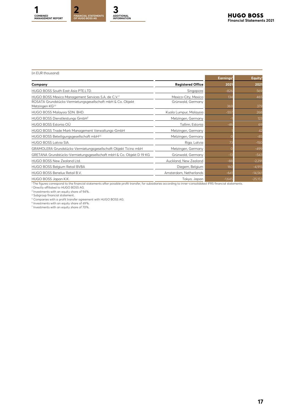#### (in EUR thousand)

|                                                                                            |                          | Earnings <sup>1</sup> | Equity <sup>1</sup> |
|--------------------------------------------------------------------------------------------|--------------------------|-----------------------|---------------------|
| Company                                                                                    | <b>Registered Office</b> | 2021                  | 2021                |
| HUGO BOSS South East Asia PTE.LTD.                                                         | Singapore                | $-826$                | 569                 |
| HUGO BOSS Mexico Management Services S.A. de C.V. <sup>2</sup>                             | Mexico-City, Mexico      | 134                   | 465                 |
| ROSATA Grundstücks-Vermietungsgesellschaft mbH & Co. Objekt<br>Metzingen KG <sup>2,3</sup> | Grünwald, Germany        | 369                   | 379                 |
| HUGO BOSS Malaysia SDN. BHD.                                                               | Kuala Lumpur, Malaysia   | $-557$                | 268                 |
| HUGO BOSS Dienstleistungs GmbH <sup>2</sup>                                                | Metzingen, Germany       |                       | 123                 |
| HUGO BOSS Estonia OÜ                                                                       | Tallinn, Estonia         | -46                   | 69                  |
| HUGO BOSS Trade Mark Management Verwaltungs-GmbH                                           | Metzingen, Germany       |                       | 42                  |
| HUGO BOSS Beteiligungsgesellschaft mbH <sup>2,5</sup>                                      | Metzingen, Germany       |                       | $-85$               |
| HUGO BOSS Latvia SIA.                                                                      | Riga, Latvia             |                       | $-150$              |
| GRAMOLERA Grundstücks-Vermietungsgesellschaft Objekt Ticino mbH                            | Metzingen, Germany       |                       | $-499$              |
| GRETANA Grundstücks-Vermietungsgesellschaft mbH & Co. Objekt D 19 KG                       | Grünwald, Germany        | $-13$                 | $-543$              |
| HUGO BOSS New Zealand Ltd.                                                                 | Auckland, New Zealand    | $-88$                 | $-2,291$            |
| HUGO BOSS Belgium Retail BVBA                                                              | Diegem, Belgium          | <b>16C</b>            | $-4,915$            |
| HUGO BOSS Benelux Retail B.V.                                                              | Amsterdam, Netherlands   | $-64'$                | $-14,561$           |
| HUGO BOSS Japan K.K.                                                                       | Tokyo, Japan             | $-1,645$              | $-25,153$           |

' The figures correspond to the financial statements after possible profit transfer, for subsidiaries according to inner-consolidated IFRS financial statements.<br><sup>2</sup> Directly affiliated to HUGO BOSS AG.

<sup>3</sup> Investments with an equity share of 94%.<br><sup>4</sup> Subgroup financial statement.<br><sup>6</sup> Iompanies with a profit transfer agreement with HUGO BOSS AG.<br><sup>6</sup> Investments with an equity share of 70%.<br><sup>7</sup> Investments with an equity s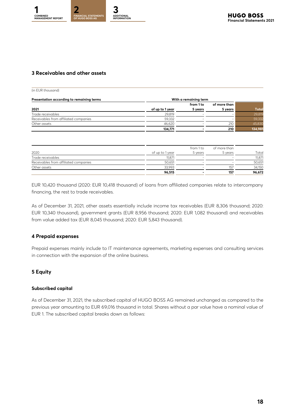#### **3 Receivables and other assets**

| (in EUR thousand)                         |                 |                       |              |              |
|-------------------------------------------|-----------------|-----------------------|--------------|--------------|
| Presentation according to remaining terms |                 | With a remaining term |              |              |
|                                           |                 | from 1 to             | of more than |              |
| 2021                                      | of up to 1 year | 5 years               | 5 years      | <b>Total</b> |
| Trade receivables                         | 29,819          |                       |              | 29,819       |
| Receivables from affiliated companies     | 59,332          |                       |              | 59,332       |
| Other assets                              | 46,620          |                       | 210          | 45,830       |
|                                           | 134,771         |                       | 210          | 134,981      |

| 2020                                  | of up to 1 year | from 1 to<br>5 years | of more than<br>5 years | Total  |
|---------------------------------------|-----------------|----------------------|-------------------------|--------|
| Trade receivables                     | 11.871          |                      |                         | 11.871 |
| Receivables from affiliated companies | 50.651          |                      |                         | 50,651 |
| Other assets                          | 33,993          |                      | 157                     | 34,150 |
|                                       | 96.515          |                      | 157                     | 96,672 |

EUR 10,420 thousand (2020: EUR 10,418 thousand) of loans from affiliated companies relate to intercompany financing, the rest to trade receivables.

As of December 31, 2021, other assets essentially include income tax receivables (EUR 8,306 thousand; 2020: EUR 10,340 thousand), government grants (EUR 8,956 thousand; 2020: EUR 1,082 thousand) and receivables from value added tax (EUR 8,045 thousand; 2020: EUR 5,843 thousand).

#### **4 Prepaid expenses**

Prepaid expenses mainly include to IT maintenance agreements, marketing expenses and consulting services in connection with the expansion of the online business.

#### **5 Equity**

#### **Subscribed capital**

As of December 31, 2021, the subscribed capital of HUGO BOSS AG remained unchanged as compared to the previous year amounting to EUR 69,016 thousand in total. Shares without a par value have a nominal value of EUR 1. The subscribed capital breaks down as follows: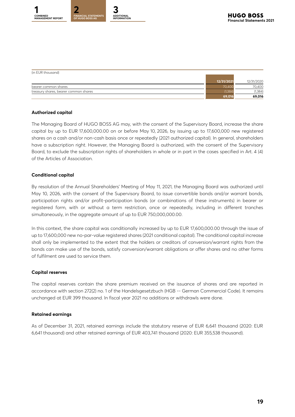

| (in EUR thousand)                     |            |            |
|---------------------------------------|------------|------------|
|                                       | 12/31/2021 | 12/31/2020 |
| bearer common shares                  |            | 70,400     |
| treasury shares, bearer common shares |            | (1, 384)   |
|                                       | 69,016     | 69,016     |

#### **Authorized capital**

The Managing Board of HUGO BOSS AG may, with the consent of the Supervisory Board, increase the share capital by up to EUR 17,600,000.00 on or before May 10, 2026, by issuing up to 17,600,000 new registered shares on a cash and/or non-cash basis once or repeatedly (2021 authorized capital). In general, shareholders have a subscription right. However, the Managing Board is authorized, with the consent of the Supervisory Board, to exclude the subscription rights of shareholders in whole or in part in the cases specified in Art. 4 (4) of the Articles of Association.

#### **Conditional capital**

By resolution of the Annual Shareholders' Meeting of May 11, 2021, the Managing Board was authorized until May 10, 2026, with the consent of the Supervisory Board, to issue convertible bonds and/or warrant bonds, participation rights and/or profit-participation bonds (or combinations of these instruments) in bearer or registered form, with or without a term restriction, once or repeatedly, including in different tranches simultaneously, in the aggregate amount of up to EUR 750,000,000.00.

In this context, the share capital was conditionally increased by up to EUR 17,600,000.00 through the issue of up to 17,600,000 new no-par-value registered shares (2021 conditional capital). The conditional capital increase shall only be implemented to the extent that the holders or creditors of conversion/warrant rights from the bonds can make use of the bonds, satisfy conversion/warrant obligations or offer shares and no other forms of fulfilment are used to service them.

#### **Capital reserves**

The capital reserves contain the share premium received on the issuance of shares and are reported in accordance with section 272(2) no. 1 of the Handelsgesetzbuch (HGB -- German Commercial Code). It remains unchanged at EUR 399 thousand. In fiscal year 2021 no additions or withdrawls were done.

#### **Retained earnings**

As of December 31, 2021, retained earnings include the statutory reserve of EUR 6,641 thousand (2020: EUR 6,641 thousand) and other retained earnings of EUR 403,741 thousand (2020: EUR 355,538 thousand).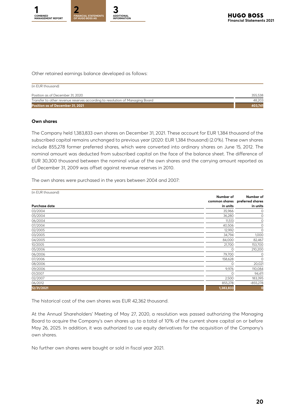

Other retained earnings balance developed as follows:

| (in EUR thousand)                                                            |         |
|------------------------------------------------------------------------------|---------|
| Position as of December 31, 2020                                             | 355,538 |
| Transfer to other revenue reserves according to resolution of Managing Board | 48.203  |
| Position as of December 31, 2021                                             | 403.741 |

#### **Own shares**

The Company held 1,383,833 own shares on December 31, 2021. These account for EUR 1,384 thousand of the subscribed capital remains unchanged to previous year (2020: EUR 1,384 thousand) (2.0%). These own shares include 855,278 former preferred shares, which were converted into ordinary shares on June 15, 2012. The nominal amount was deducted from subscribed capital on the face of the balance sheet. The difference of EUR 30,300 thousand between the nominal value of the own shares and the carrying amount reported as of December 31, 2009 was offset against revenue reserves in 2010.

The own shares were purchased in the years between 2004 and 2007:

| (in EUR thousand)    |                       |                                                         |
|----------------------|-----------------------|---------------------------------------------------------|
| <b>Purchase date</b> | Number of<br>in units | Number of<br>common shares preferred shares<br>in units |
| 03/2004              | 35,966                | 0                                                       |
| 05/2004              | 36,280                | 0                                                       |
| 06/2004              | 11,513                | 0                                                       |
| 07/2004              | 40,506                | 0                                                       |
| 02/2005              | 12,992                | $\circ$                                                 |
| 03/2005              | 34,794                | 1,000                                                   |
| 04/2005              | 84,000                | 82,467                                                  |
| 10/2005              | 21,700                | 153,700                                                 |
| 05/2006              | 0                     | 210,200                                                 |
| 06/2006              | 79,700                | 0                                                       |
| 07/2006              | 158,628               | $\circ$                                                 |
| 08/2006              | $\Omega$              | 20,021                                                  |
| 09/2006              | 9,976                 | 110,084                                                 |
| 01/2007              | $\Omega$              | 94,411                                                  |
| 02/2007              | 2,500                 | 183,395                                                 |
| 06/2012              | 855,278               | $-855,278$                                              |
| 12/31/2021           | 1,383,833             | 0                                                       |

The historical cost of the own shares was EUR 42,362 thousand.

At the Annual Shareholders' Meeting of May 27, 2020, a resolution was passed authorizing the Managing Board to acquire the Company's own shares up to a total of 10% of the current share capital on or before May 26, 2025. In addition, it was authorized to use equity derivatives for the acquisition of the Company's own shares.

No further own shares were bought or sold in fiscal year 2021.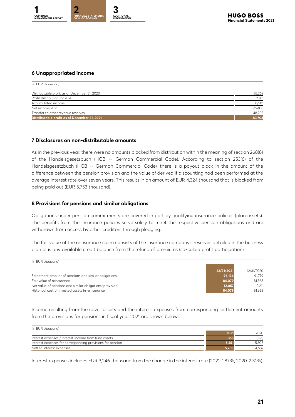

#### **6 Unappropriated income**

| (in EUR thousand)                            |        |
|----------------------------------------------|--------|
|                                              |        |
| Distributable profit as of December 31, 2020 | 38,262 |
| Profit distribution for 2020                 | 2,761  |
| Accumulated income                           | 35,501 |
| Net income 2021                              | 96,406 |
| Transfer to other revenue reserves           | 48,203 |
| Distributable profit as of December 31, 2021 | 83,704 |

#### **7 Disclosures on non-distributable amounts**

As in the previous year, there were no amounts blocked from distribution within the meaning of section 268(8) of the Handelsgesetzbuch (HGB -- German Commercial Code). According to section 253(6) of the Handelsgesetzbuch (HGB -- German Commercial Code), there is a payout block in the amount of the difference between the pension provision and the value of derived if discounting had been performed at the average interest rate over seven years. This results in an amount of EUR 4,324 thousand that is blocked from being paid out (EUR 5,753 thousand).

#### **8 Provisions for pensions and similar obligations**

Obligations under pension commitments are covered in part by qualifying insurance policies (plan assets). The benefits from the insurance policies serve solely to meet the respective pension obligations and are withdrawn from access by other creditors through pledging.

The fair value of the reinsurance claim consists of the insurance company's reserves detailed in the business plan plus any available credit balance from the refund of premiums (so-called profit participation).

| (in EUR thousand)                                         |            |            |
|-----------------------------------------------------------|------------|------------|
|                                                           | 12/31/2021 | 12/31/2020 |
| Settlement amount of pensions and similar obligations     | 96,136     | 91,779     |
| Fair value of reinsurance                                 | 84,079     | 81.568     |
| Net value of pensions and similar obligations (provision) | 12,057     | 10,211     |
| Historical cost of invested assets in reinsurance         | 84,079     | 81,568     |

Income resulting from the cover assets and the interest expenses from corresponding settlement amounts from the provisions for pensions in fiscal year 2021 are shown below:

| (in EUR thousand)                                          |       |       |
|------------------------------------------------------------|-------|-------|
|                                                            | 2021  | 2020  |
| Interest expenses / Interest Income from fund assets       | 358   | (621) |
| Interest expenses for corresponding provisions for pension | .351  | 5.308 |
| Netted interest expenses                                   | 5.709 | 4.687 |

Interest expenses includes EUR 3,246 thousand from the change in the interest rate (2021: 1.87%; 2020: 2.31%).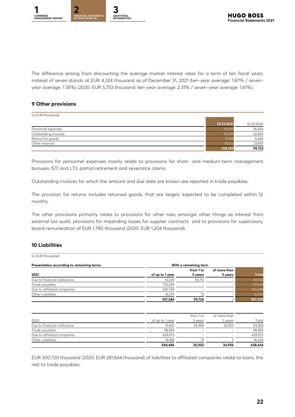

The difference arising from discounting the average market interest rates for a term of ten fiscal years instead of seven stands at EUR 4,324 thousand as of December 31, 2021 (ten-year average: 1.87% / sevenyear average: 1.35%) (2020: EUR 5,753 thousand; ten-year average: 2.31% / seven-year average: 1.61%).

#### **9 Other provisions**

| (in EUR thousand)    |            |            |
|----------------------|------------|------------|
|                      | 12/31/2021 | 12/31/2020 |
| Personnel expenses   | 55,439     | 36,564     |
| Outstanding invoices | 28,789     | 32,840     |
| Refund for goods     | 5,938      | 6,466      |
| Other reserves       | 18,623     | 23,853     |
|                      | 108,789    | 99,723     |

Provisions for personnel expenses mainly relate to provisions for short- and medium-term management bonuses (STI and LTI), partial retirement and severance claims.

Outstanding invoices for which the amount and due date are known are reported in trade payables.

The provision for returns includes returned goods, that are largely expected to be completed within 12 months.

The other provisions primarily relate to provisions for other risks amongst other things as interest from external tax audit, provisions for impending losses for supplier contracts and to provisions for supervisory board remuneration of EUR 1,790 thousand (2020: EUR 1,204 thousand).

#### **10 Liabilities**

(in EUR thousand)

| Presentation according to remaining terms |                 | With a remaining term    |                          |              |
|-------------------------------------------|-----------------|--------------------------|--------------------------|--------------|
|                                           |                 | from 1 to                | of more than             |              |
| 2021                                      | of up to 1 year | 5 years                  | 5 years                  | <b>Total</b> |
| Due to financial institutions             | 10,229          | 59,713                   | $\overline{\phantom{a}}$ | 69,942       |
| Trade payables                            | 170,299         | $\overline{\phantom{0}}$ | $\overline{\phantom{a}}$ | 170,299      |
| Due to affiliated companies               | 330,749         |                          |                          | 330,749      |
| Other Liabilities                         | 16,237          |                          |                          | 16,250       |
|                                           | 527,584         | 59,726                   |                          | 587,240      |

|                               |                 | from 1 to                | of more than |         |
|-------------------------------|-----------------|--------------------------|--------------|---------|
| 2020                          | of up to 1 year | 5 years                  | 5 years      | Total   |
| Due to financial institutions | 13.442          | 34.989                   | 34.953       | 83,384  |
| Trade payables                | 98.983          | $\overline{\phantom{0}}$ |              | 98,983  |
| Due to affiliated companies   | 439,873         | $\overline{\phantom{0}}$ |              | 439,873 |
| Other Liabilities             | 16.188          |                          |              | 16,204  |
|                               | 568,486         | 35.002                   | 34,956       | 638,444 |

EUR 300,720 thousand (2020: EUR 281,844 thousand) of liabilities to affiliated companies relate to loans, the rest to trade payables.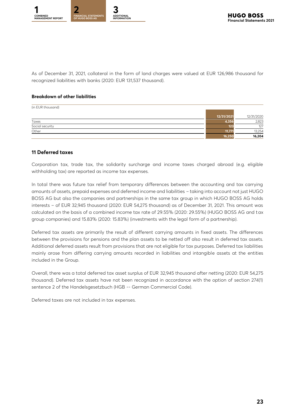

As of December 31, 2021, collateral in the form of land charges were valued at EUR 126,986 thousand for recognized liabilities with banks (2020: EUR 131,537 thousand).

#### **Breakdown of other liabilities**

| (in EUR thousand) |            |            |
|-------------------|------------|------------|
|                   | 12/31/2021 | 12/31/2020 |
| Taxes             | 4.356      | 2,823      |
| Social security   | 123        | 127        |
| Other             | 11.771     | 13,254     |
|                   | 16,250     | 16,204     |

#### **11 Deferred taxes**

Corporation tax, trade tax, the solidarity surcharge and income taxes charged abroad (e.g. eligible withholding tax) are reported as income tax expenses.

In total there was future tax relief from temporary differences between the accounting and tax carrying amounts of assets, prepaid expenses and deferred income and liabilities – taking into account not just HUGO BOSS AG but also the companies and partnerships in the same tax group in which HUGO BOSS AG holds interests – of EUR 32,945 thousand (2020: EUR 54,275 thousand) as of December 31, 2021. This amount was calculated on the basis of a combined income tax rate of 29.55% (2020: 29.55%) (HUGO BOSS AG and tax group companies) and 15.83% (2020: 15.83%) (investments with the legal form of a partnership).

Deferred tax assets are primarily the result of different carrying amounts in fixed assets. The differences between the provisions for pensions and the plan assets to be netted off also result in deferred tax assets. Additional deferred assets result from provisions that are not eligible for tax purposes. Deferred tax liabilities mainly arose from differing carrying amounts recorded in liabilities and intangible assets at the entities included in the Group.

Overall, there was a total deferred tax asset surplus of EUR 32,945 thousand after netting (2020: EUR 54,275 thousand). Deferred tax assets have not been recognized in accordance with the option of section 274(1) sentence 2 of the Handelsgesetzbuch (HGB -- German Commercial Code).

Deferred taxes are not included in tax expenses.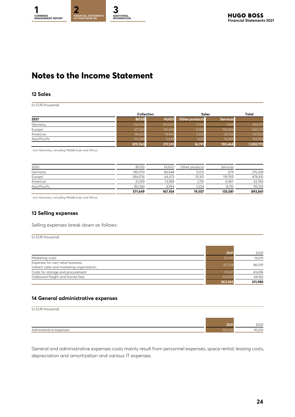# <span id="page-23-0"></span>**Notes to the Income Statement**

#### **12 Sales**

(in EUR thousand)

|                     |             | Collection  |                | <b>Sales</b>    |           |
|---------------------|-------------|-------------|----------------|-----------------|-----------|
| 2021                | <b>BOSS</b> | <b>HUGO</b> | Other products | <b>Services</b> |           |
| Germany             | 252,164     | 101,500     | 5,169          | 1,268           | 360,101   |
| Europe <sup>1</sup> | 417,081     | 90,458      | 9,180          | 152,456         | 669,175   |
| Americas            | 96,422      | 19,965      | 1,020          | 20,155          | 137,562   |
| Asia/Pacific        | 110,296     | 5,628       | .422           | 16,589          | 133,935   |
|                     | 875,963     | 217,551     | 16,791         | 190,468         | 1,300,773 |

<sup>1</sup> w/o Germany, including Middle East and Africa.

|                     | 571,649     | 167,104     | 19,507         | 135,581         | 893,841 |
|---------------------|-------------|-------------|----------------|-----------------|---------|
| Asia/Pacific        | 80.344      | 4.594       | 2,224          | 8.170           | 95,332  |
| Americas            | 21.259      | 13.389      | 2.151          | 6.967           | 43,766  |
| Europe <sup>1</sup> | 284.076     | 64.473      | 10.101         | 119.765         | 478,415 |
| Germany             | 185,970     | 84.648      | 5.031          | 679             | 276,328 |
| 2020                | <b>BOSS</b> | <b>HUGO</b> | Other products | <b>Services</b> |         |

<sup>1</sup> w/o Germany, including Middle East and Africa.

#### **13 Selling expenses**

Selling expenses break down as follows:

(in EUR thousand)

|                                                                                | 2021    | 2020    |
|--------------------------------------------------------------------------------|---------|---------|
| Marketing costs                                                                | 23,340  | 14,015  |
| Expenses for own retail business,<br>indirect sales and marketing organization | 85,558  | 86,091  |
| Costs for storage and procurement                                              | 51,637  | 43,696  |
| Outbound freight and license fees                                              | 102,825 | 68,183  |
|                                                                                | 263,360 | 211.985 |

#### **14 General administrative expenses**

| (in EUR thousand)       |         |        |
|-------------------------|---------|--------|
|                         | 2021    | 2020   |
| Administrative expenses | 104,220 | 93,210 |

General and administrative expenses costs mainly result from personnel expenses, space rental, leasing costs, depreciation and amortization and various IT expenses.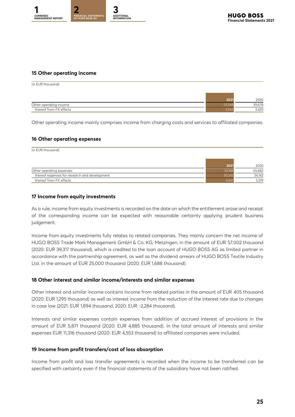

#### **15 Other operating income**

(in EUR thousand)

|                         | 2022 |
|-------------------------|------|
| Other operating income  | 270  |
| thereof from FX effects | 100  |

Other operating income mainly comprises income from charging costs and services to affiliated companies.

#### **16 Other operating expenses**

(in EUR thousand)

|                                               |        | 2020   |
|-----------------------------------------------|--------|--------|
| Other operating expenses                      | 52.166 | 65.682 |
| thereof expenses for research and development |        | 34,142 |
| thereof from FX effects                       |        | 5.319  |

#### **17 Income from equity investments**

As a rule, income from equity investments is recorded on the date on which the entitlement arose and receipt of the corresponding income can be expected with reasonable certainty applying prudent business judgement.

Income from equity investments fully relates to related companies. They mainly concern the net income of HUGO BOSS Trade Mark Management GmbH & Co. KG, Metzingen, in the amount of EUR 57,002 thousand (2020: EUR 39,317 thousand), which is credited to the loan account of HUGO BOSS AG as limited partner in accordance with the partnership agreement, as well as the dividend arrears of HUGO BOSS Textile Industry Ltd. in the amount of EUR 25,000 thousand (2020: EUR 1,688 thousand).

#### **18 Other interest and similar income/interests and similar expenses**

Other interest and similar income contains income from related parties in the amount of EUR 405 thousand (2020: EUR 1,295 thousand) as well as interest income from the reduction of the interest rate due to changes in case law (2021: EUR 1,894 thousand; 2020: EUR -2,284 thousand).

Interests and similar expenses contain expenses from addition of accrued interest of provisions in the amount of EUR 5,871 thousand (2020: EUR 4,885 thousand). In the total amount of interests and similar expenses EUR 11,316 thousand (2020: EUR 4,553 thousand) to affiliated companies were included.

#### **19 Income from profit transfers/cost of loss absorption**

Income from profit and loss transfer agreements is recorded when the income to be transferred can be specified with certainty even if the financial statements of the subsidiary have not been ratified.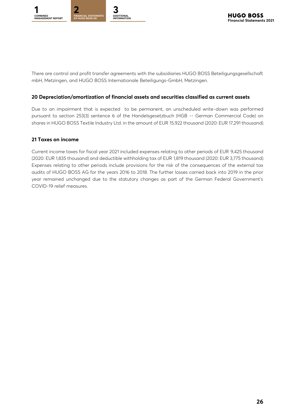

There are control and profit transfer agreements with the subsidiaries HUGO BOSS Beteiligungsgesellschaft mbH, Metzingen, and HUGO BOSS Internationale Beteiligungs-GmbH, Metzingen.

#### **20 Depreciation/amortization of financial assets and securities classified as current assets**

Due to an impairment that is expected to be permanent, an unscheduled write-down was performed pursuant to section 253(3) sentence 6 of the Handelsgesetzbuch (HGB -- German Commercial Code) on shares in HUGO BOSS Textile Industry Ltd. in the amount of EUR 15,922 thousand (2020: EUR 17,291 thousand).

#### **21 Taxes on income**

Current income taxes for fiscal year 2021 included expenses relating to other periods of EUR 9,425 thousand (2020: EUR 1,835 thousand) and deductible withholding tax of EUR 1,819 thousand (2020: EUR 3,775 thousand). Expenses relating to other periods include provisions for the risk of the consequences of the external tax audits of HUGO BOSS AG for the years 2016 to 2018. The further losses carried back into 2019 in the prior year remained unchanged due to the statutory changes as part of the German Federal Government's COVID-19 relief measures.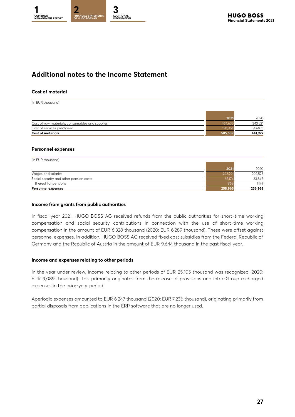### **Additional notes to the Income Statement**

#### **Cost of material**

(in EUR thousand)

| <b>Cost of materials</b>                        | 585.589 | 441,927 |
|-------------------------------------------------|---------|---------|
| Cost of services purchased                      |         | 98.406  |
| Cost of raw materials, consumables and supplies |         | 343,521 |
|                                                 | 2021    | 2020    |
|                                                 |         |         |

#### **Personnel expenses**

| (in EUR thousand)                       |         |         |
|-----------------------------------------|---------|---------|
|                                         |         |         |
|                                         | 2021    | 2020    |
| Wages and salaries                      | 223,791 | 202,523 |
| Social security and other pension costs | 35,174  | 33.845  |
| thereof for pensions                    | 869     | 1.179   |
| Personnel expenses                      | 258,965 | 236,368 |

#### **Income from grants from public authorities**

In fiscal year 2021, HUGO BOSS AG received refunds from the public authorities for short -time working compensation and social security contributions in connection with the use of short-time working compensation in the amount of EUR 6,328 thousand (2020: EUR 6,289 thousand). These were offset against personnel expenses. In addition, HUGO BOSS AG received fixed cost subsidies from the Federal Republic of Germany and the Republic of Austria in the amount of EUR 9,644 thousand in the past fiscal year.

#### **Income and expenses relating to other periods**

In the year under review, income relating to other periods of EUR 25,105 thousand was recognized (2020: EUR 9,089 thousand). This primarily originates from the release of provisions and intra-Group recharged expenses in the prior-year period.

Aperiodic expenses amounted to EUR 6,247 thousand (2020: EUR 7,236 thousand), originating primarily from partial disposals from applications in the ERP software that are no longer used.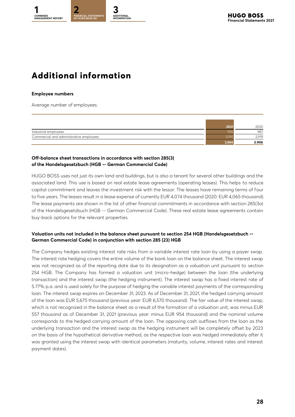# <span id="page-27-0"></span>**Additional information**

#### **Employee numbers**

Average number of employees:

|                                         | 2021 | 2020  |
|-----------------------------------------|------|-------|
| Industrial employees                    |      | 987   |
| Commercial and administrative employees |      | 2.919 |
|                                         |      | 3.906 |

#### **Off-balance sheet transactions in accordance with section 285(3) of the Handelsgesetzbuch (HGB -- German Commercial Code)**

HUGO BOSS uses not just its own land and buildings, but is also a tenant for several other buildings and the associated land. This use is based on real estate lease agreements (operating leases). This helps to reduce capital commitment and leaves the investment risk with the lessor. The leases have remaining terms of four to five years. The leases result in a lease expense of currently EUR 4,074 thousand (2020: EUR 4,065 thousand). The lease payments are shown in the list of other financial commitments in accordance with section 285(3a) of the Handelsgesetzbuch (HGB -- German Commercial Code). These real estate lease agreements contain buy-back options for the relevant properties.

#### **Valuation units not included in the balance sheet pursuant to section 254 HGB (Handelsgesetzbuch -- German Commercial Code) in conjunction with section 285 (23) HGB**

The Company hedges existing interest rate risks from a variable interest rate loan by using a payer swap. The interest rate hedging covers the entire volume of the bank loan on the balance sheet. The interest swap was not recognized as of the reporting date due to its designation as a valuation unit pursuant to section 254 HGB. The Company has formed a valuation unit (micro-hedge) between the loan (the underlying transaction) and the interest swap (the hedging instrument). The interest swap has a fixed interest rate of 5.77% p.a. and is used solely for the purpose of hedging the variable interest payments of the corresponding loan. The interest swap expires on December 31, 2023. As of December 31, 2021, the hedged carrying amount of the loan was EUR 5,675 thousand (previous year: EUR 6,570 thousand). The fair value of the interest swap, which is not recognized in the balance sheet as a result of the formation of a valuation unit, was minus EUR 557 thousand as of December 31, 2021 (previous year: minus EUR 954 thousand) and the nominal volume corresponds to the hedged carrying amount of the loan. The opposing cash outflows from the loan as the underlying transaction and the interest swap as the hedging instrument will be completely offset by 2023 on the basis of the hypothetical derivative method, as the respective loan was hedged immediately after it was granted using the interest swap with identical parameters (maturity, volume, interest rates and interest payment dates).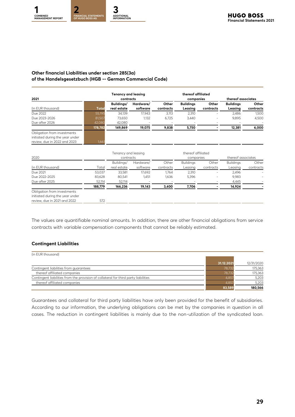#### **Other financial Liabilities under section 285(3a) of the Handelsgesetzbuch (HGB -- German Commercial Code)**

| 2021                                                                                           |         | <b>Tenancy and leasing</b><br>contracts |                          | thereof affiliated<br>companies |                             | thereof associates |                             |                    |
|------------------------------------------------------------------------------------------------|---------|-----------------------------------------|--------------------------|---------------------------------|-----------------------------|--------------------|-----------------------------|--------------------|
| (in EUR thousand)                                                                              | Total   | Buildings/<br>real estate               | Hardware/<br>software    | Other<br>contracts              | <b>Buildings</b><br>Leasing | Other<br>contracts | <b>Buildings</b><br>Leasing | Other<br>contracts |
| Due 2022                                                                                       | 55.195  | 34.139                                  | 17.943                   | 3.113                           | 2.310                       | -                  | 2.486                       | 1,500              |
| Due 2023-2026                                                                                  | 81,507  | 73.650                                  | 1.132                    | 6,725                           | 3,440                       |                    | 9.895                       | 4.500              |
| Due after 2026                                                                                 | 42,080  | 42,080                                  | $\overline{\phantom{0}}$ | $\overline{\phantom{a}}$        | $\overline{\phantom{0}}$    |                    | $\overline{\phantom{0}}$    |                    |
|                                                                                                | 178,782 | 149,869                                 | 19,075                   | 9,838                           | 5,750                       |                    | 12,381                      | 6,000              |
| Obligation from investments<br>initiated during the year under<br>review, due in 2022 and 2023 | 1,661   |                                         |                          |                                 |                             |                    |                             |                    |

|                                 |         | Tenancy and leasing |           |           | thereof affiliated |                          |                  |                    |  |
|---------------------------------|---------|---------------------|-----------|-----------|--------------------|--------------------------|------------------|--------------------|--|
| 2020                            |         | contracts           |           |           | companies          |                          |                  | thereof associates |  |
|                                 |         | Buildings/          | Hardware/ | Other     | <b>Buildings</b>   | Other                    | <b>Buildings</b> | Other              |  |
| (in EUR thousand)               | Total   | real estate         | software  | contracts | Leasing            | contracts                | Leasing          | contracts          |  |
| Due 2021                        | 53,037  | 33.581              | 17.692    | 1,764     | 2.310              | $\overline{\phantom{0}}$ | 2.496            |                    |  |
| Due 2022-2025                   | 83.628  | 80,541              | 1,451     | 1,636     | 5,396              | $\overline{\phantom{0}}$ | 9.983            |                    |  |
| Due after 2025                  | 52,114  | 52,114              |           |           |                    |                          | 4,445            |                    |  |
|                                 | 188,779 | 166,236             | 19,143    | 3,400     | 7,706              |                          | 14,924           |                    |  |
| Obligation from investments     |         |                     |           |           |                    |                          |                  |                    |  |
| initiated during the year under |         |                     |           |           |                    |                          |                  |                    |  |
| review, due in 2021 and 2022    | 572     |                     |           |           |                    |                          |                  |                    |  |

The values are quantifiable nominal amounts. In addition, there are other financial obligations from service contracts with variable compensation components that cannot be reliably estimated.

#### **Contingent Liabilities**

| (in EUR thousand)                                                                   |            |            |
|-------------------------------------------------------------------------------------|------------|------------|
|                                                                                     | 31.12.2021 | 12/31/2020 |
| Contingent liabilities from guarantees                                              | 78,732     | 175,363    |
| thereof affiliated companies                                                        | 78,732     | 175,363    |
| Contingent liabilities from the provision of collateral for third party liabilities | 4,857      | 5,203      |
| thereof affiliated companies                                                        | 4,857      | 5,203      |
|                                                                                     | 83,589     | 180.566    |

Guarantees and collateral for third party liabilities have only been provided for the benefit of subsidiaries. According to our information, the underlying obligations can be met by the companies in question in all cases. The reduction in contingent liabilities is mainly due to the non-utilization of the syndicated loan.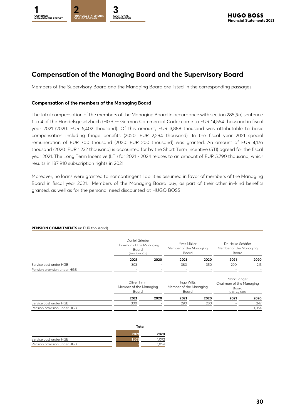

### **Compensation of the Managing Board and the Supervisory Board**

Members of the Supervisory Board and the Managing Board are listed in the corresponding passages.

#### **Compensation of the members of the Managing Board**

The total compensation of the members of the Managing Board in accordance with section 285(9a) sentence 1 to 4 of the Handelsgesetzbuch (HGB -- German Commercial Code) came to EUR 14,554 thousand in fiscal year 2021 (2020: EUR 5,402 thousand). Of this amount, EUR 3,888 thousand was attributable to basic compensation including fringe benefits (2020: EUR 2,294 thousand). In the fiscal year 2021 special remuneration of EUR 700 thousand (2020: EUR 200 thousand) was granted. An amount of EUR 4,176 thousand (2020: EUR 1,232 thousand) is accounted for by the Short Term Incentive (STI) agreed for the fiscal year 2021. The Long Term Incentive (LTI) for 2021 - 2024 relates to an amount of EUR 5.790 thousand, which results in 187,910 subscription rights in 2021.

Moreover, no loans were granted to nor contingent liabilities assumed in favor of members of the Managing Board in fiscal year 2021. Members of the Managing Board buy, as part of their other in-kind benefits granted, as well as for the personal need discounted at HUGO BOSS.

|                             | Board                                          | Daniel Grieder<br>Chairman of the Managing<br>(from June 2021) |                                               | Yves Müller<br>Member of the Managing | Dr. Heiko Schäfer<br>Member of the Managing<br>Board                  |       |  |
|-----------------------------|------------------------------------------------|----------------------------------------------------------------|-----------------------------------------------|---------------------------------------|-----------------------------------------------------------------------|-------|--|
|                             | 2021                                           | 2020                                                           | 2021                                          | 2020                                  | 2021                                                                  | 2020  |  |
| Service cost under HGB      | 303                                            |                                                                | 380                                           | 350                                   | 290                                                                   | 215   |  |
| Pension provision under HGB |                                                |                                                                |                                               |                                       |                                                                       |       |  |
|                             | Oliver Timm<br>Member of the Managing<br>Board |                                                                | Ingo Wilts<br>Member of the Managing<br>Board |                                       | Mark Langer<br>Chairman of the Managing<br>Board<br>(until July 2020) |       |  |
|                             | 2021                                           | 2020                                                           | 2021                                          | 2020                                  | 2021                                                                  | 2020  |  |
| Service cost under HGB      | 300                                            |                                                                | 290                                           | 280                                   |                                                                       | 247   |  |
| Pension provision under HGB |                                                |                                                                |                                               |                                       |                                                                       | 1,054 |  |
|                             |                                                |                                                                |                                               |                                       |                                                                       |       |  |

#### **PENSION COMMITMENTS** (in EUR thousand)

|                             | Total |      |  |
|-----------------------------|-------|------|--|
|                             |       | 2020 |  |
| Service cost under HGB      |       | 792  |  |
| Pension provision under HGB |       | .054 |  |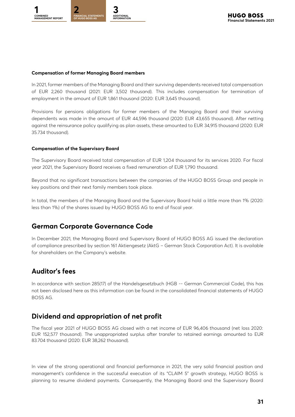

#### **Compensation of former Managing Board members**

In 2021, former members of the Managing Board and their surviving dependents received total compensation of EUR 2,260 thousand (2021: EUR 3,502 thousand). This includes compensation for termination of employment in the amount of EUR 1,861 thousand (2020: EUR 3,645 thousand).

Provisions for pensions obligations for former members of the Managing Board and their surviving dependents was made in the amount of EUR 44,596 thousand (2020: EUR 43,655 thousand). After netting against the reinsurance policy qualifying as plan assets, these amounted to EUR 34,915 thousand (2020: EUR 35.734 thousand).

#### **Compensation of the Supervisory Board**

The Supervisory Board received total compensation of EUR 1,204 thousand for its services 2020. For fiscal year 2021, the Supervisory Board receives a fixed remuneration of EUR 1,790 thousand.

Beyond that no significant transactions between the companies of the HUGO BOSS Group and people in key positions and their next family members took place.

In total, the members of the Managing Board and the Supervisory Board hold a little more than 1% (2020: less than 1%) of the shares issued by HUGO BOSS AG to end of fiscal year.

### **German Corporate Governance Code**

In December 2021, the Managing Board and Supervisory Board of HUGO BOSS AG issued the declaration of compliance prescribed by section 161 Aktiengesetz (AktG – German Stock Corporation Act). It is available for shareholders on the Company's website.

### **Auditor's fees**

In accordance with section 285(17) of the Handelsgesetzbuch (HGB -- German Commercial Code), this has not been disclosed here as this information can be found in the consolidated financial statements of HUGO BOSS AG.

### **Dividend and appropriation of net profit**

The fiscal year 2021 of HUGO BOSS AG closed with a net income of EUR 96,406 thousand (net loss 2020: EUR 152,577 thousand). The unappropriated surplus after transfer to retained earnings amounted to EUR 83.704 thousand (2020: EUR 38,262 thousand).

In view of the strong operational and financial performance in 2021, the very solid financial position and management's confidence in the successful execution of its "CLAIM 5" growth strategy, HUGO BOSS is planning to resume dividend payments. Consequently, the Managing Board and the Supervisory Board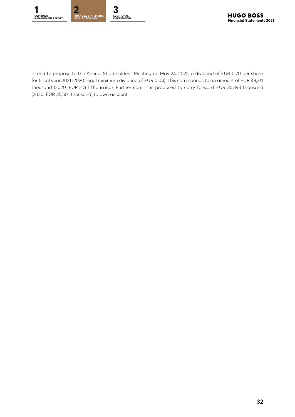

intend to propose to the Annual Shareholders' Meeting on May 24, 2022, a dividend of EUR 0.70 per share for fiscal year 2021 (2020: legal minimum dividend of EUR 0.04). This corresponds to an amount of EUR 48,311 thousand (2020: EUR 2,761 thousand). Furthermore, it is proposed to carry forward EUR 35,393 thousand (2020: EUR 35,501 thousand) to own account.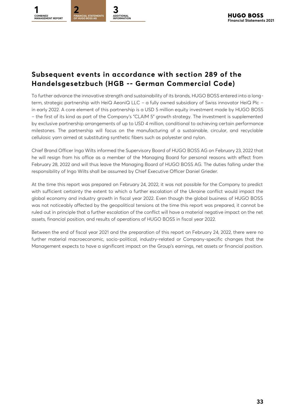

## **Subsequent events in accordance with section 289 of the Handelsgesetzbuch (HGB -- German Commercial Code)**

To further advance the innovative strength and sustainability of its brands, HUGO BOSS entered into a longterm, strategic partnership with HeiQ AeoniQ LLC – a fully owned subsidiary of Swiss innovator HeiQ Plc – in early 2022. A core element of this partnership is a USD 5 million equity investment made by HUGO BOSS – the first of its kind as part of the Company's "CLAIM 5" growth strategy. The investment is supplemented by exclusive partnership arrangements of up to USD 4 million, conditional to achieving certain performance milestones. The partnership will focus on the manufacturing of a sustainable, circular, and recyclable cellulosic yarn aimed at substituting synthetic fibers such as polyester and nylon.

Chief Brand Officer Ingo Wilts informed the Supervisory Board of HUGO BOSS AG on February 23, 2022 that he will resign from his office as a member of the Managing Board for personal reasons with effect from February 28, 2022 and will thus leave the Managing Board of HUGO BOSS AG. The duties falling under the responsibility of Ingo Wilts shall be assumed by Chief Executive Officer Daniel Grieder.

At the time this report was prepared on February 24, 2022, it was not possible for the Company to predict with sufficient certainty the extent to which a further escalation of the Ukraine conflict would impact the global economy and industry growth in fiscal year 2022. Even though the global business of HUGO BOSS was not noticeably affected by the geopolitical tensions at the time this report was prepared, it cannot be ruled out in principle that a further escalation of the conflict will have a material negative impact on the net assets, financial position, and results of operations of HUGO BOSS in fiscal year 2022.

Between the end of fiscal year 2021 and the preparation of this report on February 24, 2022, there were no further material macroeconomic, socio-political, industry-related or Company-specific changes that the Management expects to have a significant impact on the Group's earnings, net assets or financial position.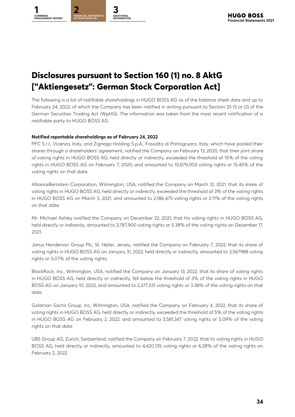<span id="page-33-0"></span>

# **Disclosures pursuant to Section 160 (1) no. 8 AktG ["Aktiengesetz": German Stock Corporation Act]**

The following is a list of notifiable shareholdings in HUGO BOSS AG as of the balance sheet date and up to February 24, 2022, of which the Company has been notified in writing pursuant to Section 33 (1) or (2) of the German Securities Trading Act (WpHG). The information was taken from the most recent notification of a notifiable party to HUGO BOSS AG.

#### **Notified reportable shareholdings as of February 24, 2022**

PFC S.r.l., Vicenza, Italy, and Zignago Holding S.p.A., Fossalta di Portogruaro, Italy, which have pooled their shares through a shareholders' agreement, notified the Company on February 13, 2020, that their joint share of voting rights in HUGO BOSS AG, held directly or indirectly, exceeded the threshold of 15% of the voting rights in HUGO BOSS AG on February 7, 2020, and amounted to 10,879,003 voting rights or 15.45% of the voting rights on that date.

AllianceBernstein Corporation, Wilmington, USA, notified the Company on March 12, 2021, that its share of voting rights in HUGO BOSS AG, held directly or indirectly, exceeded the threshold of 3% of the voting rights in HUGO BOSS AG on March 5, 2021, and amounted to 2,186,475 voting rights or 3.11% of the voting rights on that date.

Mr. Michael Ashley notified the Company on December 22, 2021, that his voting rights in HUGO BOSS AG, held directly or indirectly, amounted to 3,787,900 voting rights or 5.38% of the voting rights on December 17, 2021.

Janus Henderson Group Plc, St. Helier, Jersey, notified the Company on February 7, 2022, that its share of voting rights in HUGO BOSS AG on January 31, 2022, held directly or indirectly, amounted to 3,567988 voting rights or 5.07% of the voting rights.

BlackRock, Inc., Wilmington, USA, notified the Company on January 13, 2022, that its share of voting rights in HUGO BOSS AG, held directly or indirectly, fell below the threshold of 3% of the voting rights in HUGO BOSS AG on January 10, 2022, and amounted to 2,377,531 voting rights or 3.38% of the voting rights on that date.

Goldman Sachs Group, Inc, Wilmington, USA, notified the Company on February 4, 2022, that its share of voting rights in HUGO BOSS AG, held directly or indirectly, exceeded the threshold of 5% of the voting rights in HUGO BOSS AG on February 2, 2022, and amounted to 3,581,347 voting rights or 5.09% of the voting rights on that date.

UBS Group AG, Zurich, Switzerland, notified the Company on February 7, 2022, that its voting rights in HUGO BOSS AG, held directly or indirectly, amounted to 4,420,135 voting rights or 6.28% of the voting rights on February 2, 2022.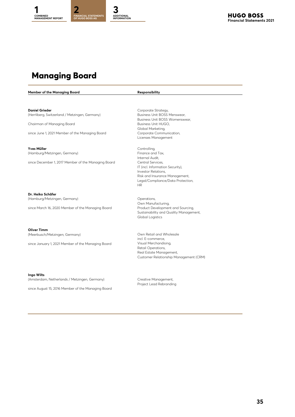# <span id="page-34-0"></span>**Managing Board**

**Member of the Managing Board Responsibility**

**Daniel Grieder** (Herrliberg, Switzerland / Metzingen, Germany)

Chairman of Managing Board

since June 1, 2021 Member of the Managing Board

**Yves Müller** (Hamburg/Metzingen, Germany)

since December 1, 2017 Member of the Managing Board

**Dr. Heiko Schäfer**  (Hamburg/Metzingen, Germany)

since March 16, 2020 Member of the Managing Board

**Oliver Timm**  (Meerbusch/Metzingen, Germany)

since January 1, 2021 Member of the Managing Board

**Ingo Wilts**

(Amsterdam, Netherlands / Metzingen, Germany)

since August 15, 2016 Member of the Managing Board

Corporate Strategy, Business Unit BOSS Menswear, Business Unit BOSS Womenswear, Business Unit HUGO, Global Marketing, Corporate Communication, Licenses Management

Controlling, Finance and Tax, Internal Audit, Central Services, IT (incl. Information Security), Investor Relations, Risk and Insurance Management, Legal/Compliance/Data Protection, HR

Operations, Own Manufacturing, Product Development and Sourcing, Sustainability and Quality Management, Global Logistics

Own Retail and Wholesale incl. E-commerce, Visual Merchandising, Retail Operations, Real Estate Management, Customer Relationship Management (CRM)

Creative Management, Project Lead Rebranding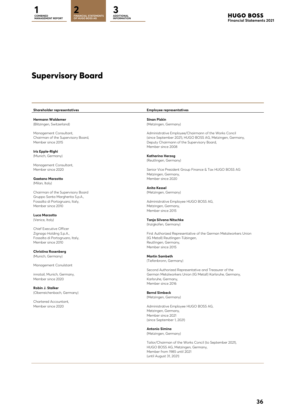# <span id="page-35-0"></span>**Supervisory Board**

#### **Shareholder representatives Employee representatives**

**Hermann Waldemer Sinan Piskin**  (Blitzingen, Switzerland) (Metzingen, Germany)

**Iris Epple-Righi**

Management Consultant,

Gaetano Marzotto **Marzotto** Member since 2020 (Milan, Italy)

Chairman of the Supervisory Board **(Metzingen, Germany)** (Metzingen, Germany) Gruppo Santa Margherita S.p.A.,

**Luca Marzotto** 

Chief Executive Officer Member since 2010 Reutlingen, Germany,

**Christina Rosenberg** (Munich, Germany) **Martin Sambeth**

Management Conulstant

innotail, Munich, Germany, Member since 2020 Karlsruhe, Germany,

**Robin J. Stalker** (Oberreichenbach, Germany) **Bernd Simbeck**

Chartered Accountant,

Management Consultant, Administrative Employee/Chairmann of the Works Concil Chairman of the Supervisory Board, (since September 2021), HUGO BOSS AG, Metzingen, Germany, Member since 2015 Member since 2015 Member since 2008

(Munich, Germany) **Katharina Herzog** (Reutlingen, Germany)

Member since 2020 Senior Vice President Group Finance & Tax HUGO BOSS AG Metzingen, Germany,

**Anita Kessel**

Fossalta di Portogruaro, Italy, Employee HUGO BOSS AG, Administrative Employee HUGO BOSS AG, Andre States and Metzinaen, Germany. Metzingen, Germany, Member since 2015

#### (Venice, Italy) **Tanja Silvana Nitschke**

(Inzigkofen, Germany)

Zignago Holding S.p.A., First Authorized Representative of the German Metalworkers Union Fossalta di Portogruaro, Italy, (IG Metall) Reutlingen-Tübingen, Member since 2015

(Tiefenbronn, Germany)

Second Authorized Representative and Treasurer of the German Metalworkers Union (IG Metall) Karlsruhe, Germany, Member since 2016

## (Metzingen, Germany)

Member since 2020 **Administrative Employee HUGO BOSS AG**, Metzingen, Germany,

Member since 2021 (since September 1, 2021)

**Antonio Simina** (Metzingen, Germany)

Tailor/Chairman of the Works Concil (to September 2021), HUGO BOSS AG, Metzingen, Germany, Member from 1985 until 2021 (until August 31, 2021)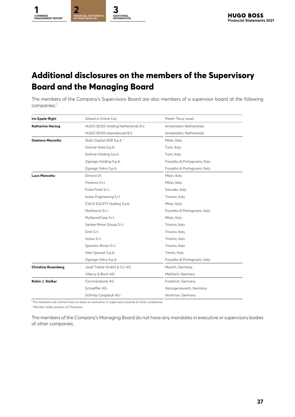<span id="page-36-0"></span>

# **Additional disclosures on the members of the Supervisory Board and the Managing Board**

The members of the Company's Supervisory Board are also members of a supervisor board at the following companies:<sup>1</sup>

| Iris Epple-Righi           | Global-e Online Ltd.                  | Petah-Tikva, Israel            |  |  |
|----------------------------|---------------------------------------|--------------------------------|--|--|
| Katharina Herzog           | HUGO BOSS Holding Netherlands B.V.    | Amsterdam, Netherlands         |  |  |
|                            | HUGO BOSS International B.V.          | Amsterdam, Netherlands         |  |  |
| <b>Gaetano Marzotto</b>    | Style Capital SGR S.p.A. <sup>2</sup> | Milan, Italy                   |  |  |
|                            | Golmar Italia S.p.A.                  | Turin, Italy                   |  |  |
|                            | Golmar Holding S.p.A.                 | Turin, Italy                   |  |  |
|                            | Zignago Holding S.p.A.                | Fossalta di Portogruaro, Italy |  |  |
|                            | Zignago Vetro S.p.A.                  | Fossalta di Portogruaro, Italy |  |  |
| Luca Marzotto              | Dimora 01                             | Milan, Italy                   |  |  |
|                            | Florence S.r.l.                       | Milan, Italy                   |  |  |
|                            | Forte Forte S.r.l.                    | Sarcedo, Italy                 |  |  |
|                            | Isotex Engineering S.r.l.             | Trissino, Italy                |  |  |
|                            | ITACA EQUITY Holding S.pA.            | Milan, Italy                   |  |  |
|                            | Multitecno S.r.l.                     | Fossalta di Portogruaro, Italy |  |  |
|                            | MySecretCase S.r.l.                   | Milan, Italy                   |  |  |
|                            | Santex Rimar Group S.r.l.             | Trissino, Italy                |  |  |
|                            | Smit S.r.l.                           | Trissino, Italy                |  |  |
|                            | Solwa S.r.l.                          | Trissino, Italy                |  |  |
|                            | Sperotto Rimar S.r.l.                 | Trissino, Italy                |  |  |
|                            | Vetri Speciali S.p.A.                 | Trento, Italy                  |  |  |
|                            | Zignago Vetro S.p.A.                  | Fossalta di Portogruaro, Italy |  |  |
| <b>Christina Rosenberg</b> | Josef Tretter GmbH & Co. KG           | Munich, Germany                |  |  |
|                            | Villeroy & Boch AG                    | Mettlach, Germany              |  |  |
| Robin J. Stalker           | Commerzbank AG                        | Frankfurt, Germany             |  |  |
|                            | Schaeffler AG                         | Herzogenaurach, Germany        |  |  |
|                            | Schmitz Cargobull AG <sup>2</sup>     | Horstmar, Germany              |  |  |

<sup>1</sup> The members not named have no seats on executive or supervisory boards at other companies.

<sup>2</sup> Member holds position of Chairman.

The members of the Company's Managing Board do not have any mandates in executive or supervisory bodies of other companies.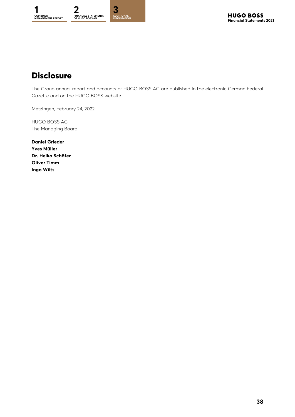<span id="page-37-0"></span>

# **Disclosure**

The Group annual report and accounts of HUGO BOSS AG are published in the electronic German Federal Gazette and on the HUGO BOSS website.

Metzingen, February 24, 2022

HUGO BOSS AG The Managing Board

**Daniel Grieder Yves Müller Dr. Heiko Schäfer Oliver Timm Ingo Wilts**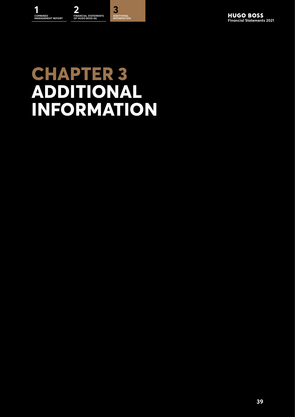# <span id="page-38-0"></span>**CHAPTER 3 ADDITIONAL INFORMATION**

**39**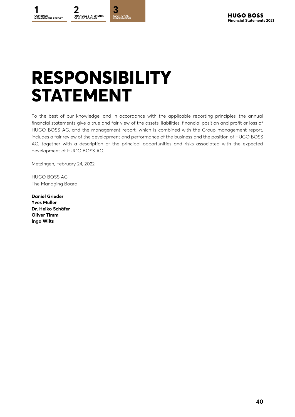<span id="page-39-0"></span>

# **RESPONSIBILITY STATEMENT**

To the best of our knowledge, and in accordance with the applicable reporting principles, the annual financial statements give a true and fair view of the assets, liabilities, financial position and profit or loss of HUGO BOSS AG, and the management report, which is combined with the Group management report, includes a fair review of the development and performance of the business and the position of HUGO BOSS AG, together with a description of the principal opportunities and risks associated with the expected development of HUGO BOSS AG.

Metzingen, February 24, 2022

HUGO BOSS AG The Managing Board

**Daniel Grieder Yves Müller Dr. Heiko Schäfer Oliver Timm Ingo Wilts**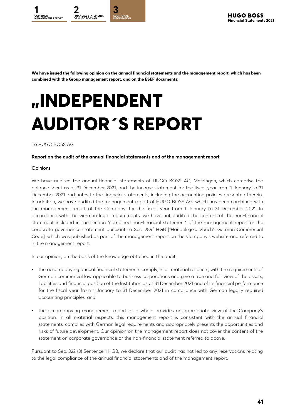<span id="page-40-0"></span>

**We have issued the following opinion on the annual financial statements and the management report, which has been combined with the Group management report, and on the ESEF documents:**

# **"INDEPENDENT AUDITOR´S REPORT**

#### To HUGO BOSS AG

#### **Report on the audit of the annual financial statements and of the management report**

#### **Opinions**

We have audited the annual financial statements of HUGO BOSS AG, Metzingen, which comprise the balance sheet as at 31 December 2021, and the income statement for the fiscal year from 1 January to 31 December 2021 and notes to the financial statements, including the accounting policies presented therein. In addition, we have audited the management report of HUGO BOSS AG, which has been combined with the management report of the Company, for the fiscal year from 1 January to 31 December 2021. In accordance with the German legal requirements, we have not audited the content of the non-financial statement included in the section "combined non-financial statement" of the management report or the corporate governance statement pursuant to Sec. 289f HGB ["Handelsgesetzbuch": German Commercial Code], which was published as part of the management report on the Company's website and referred to in the management report.

In our opinion, on the basis of the knowledge obtained in the audit,

- the accompanying annual financial statements comply, in all material respects, with the requirements of German commercial law applicable to business corporations and give a true and fair view of the assets, liabilities and financial position of the Institution as at 31 December 2021 and of its financial performance for the fiscal year from 1 January to 31 December 2021 in compliance with German legally required accounting principles, and
- the accompanying management report as a whole provides an appropriate view of the Company's position. In all material respects, this management report is consistent with the annual financial statements, complies with German legal requirements and appropriately presents the opportunities and risks of future development. Our opinion on the management report does not cover the content of the statement on corporate governance or the non-financial statement referred to above.

Pursuant to Sec. 322 (3) Sentence 1 HGB, we declare that our audit has not led to any reservations relating to the legal compliance of the annual financial statements and of the management report.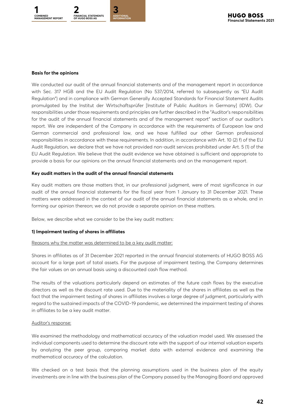

#### **Basis for the opinions**

We conducted our audit of the annual financial statements and of the management report in accordance with Sec. 317 HGB and the EU Audit Regulation (No 537/2014, referred to subsequently as "EU Audit Regulation") and in compliance with German Generally Accepted Standards for Financial Statement Audits promulgated by the Institut der Wirtschaftsprüfer [Institute of Public Auditors in Germany] (IDW). Our responsibilities under those requirements and principles are further described in the "Auditor's responsibilities for the audit of the annual financial statements and of the management report" section of our auditor's report. We are independent of the Company in accordance with the requirements of European law and German commercial and professional law, and we have fulfilled our other German professional responsibilities in accordance with these requirements. In addition, in accordance with Art. 10 (2) f) of the EU Audit Regulation, we declare that we have not provided non-audit services prohibited under Art. 5 (1) of the EU Audit Regulation. We believe that the audit evidence we have obtained is sufficient and appropriate to provide a basis for our opinions on the annual financial statements and on the management report.

#### **Key audit matters in the audit of the annual financial statements**

Key audit matters are those matters that, in our professional judgment, were of most significance in our audit of the annual financial statements for the fiscal year from 1 January to 31 December 2021. These matters were addressed in the context of our audit of the annual financial statements as a whole, and in forming our opinion thereon; we do not provide a separate opinion on these matters.

Below, we describe what we consider to be the key audit matters:

#### **1) Impairment testing of shares in affiliates**

#### Reasons why the matter was determined to be a key audit matter:

Shares in affiliates as of 31 December 2021 reported in the annual financial statements of HUGO BOSS AG account for a large part of total assets. For the purpose of impairment testing, the Company determines the fair values on an annual basis using a discounted cash flow method.

The results of the valuations particularly depend on estimates of the future cash flows by the executive directors as well as the discount rate used. Due to the materiality of the shares in affiliates as well as the fact that the impairment testing of shares in affiliates involves a large degree of judgment, particularly with regard to the sustained impacts of the COVID-19 pandemic, we determined the impairment testing of shares in affiliates to be a key audit matter.

#### Auditor's response:

We examined the methodology and mathematical accuracy of the valuation model used. We assessed the individual components used to determine the discount rate with the support of our internal valuation experts by analyzing the peer group, comparing market data with external evidence and examining the mathematical accuracy of the calculation.

We checked on a test basis that the planning assumptions used in the business plan of the equity investments are in line with the business plan of the Company passed by the Managing Board and approved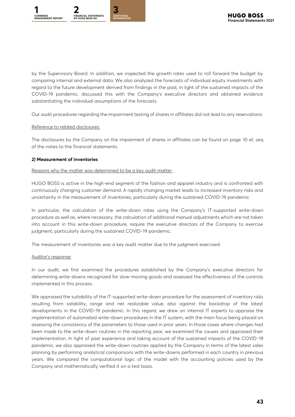

by the Supervisory Board. In addition, we inspected the growth rates used to roll forward the budget by comparing internal and external data. We also analyzed the forecasts of individual equity investments with regard to the future development derived from findings in the past, in light of the sustained impacts of the COVID-19 pandemic, discussed this with the Company's executive directors and obtained evidence substantiating the individual assumptions of the forecasts.

Our audit procedures regarding the impairment testing of shares in affiliates did not lead to any reservations.

#### Reference to related disclosures:

The disclosures by the Company on the impairment of shares in affiliates can be found on page 10 et. seq of the notes to the financial statements.

#### **2) Measurement of inventories**

#### Reasons why the matter was determined to be a key audit matter:

HUGO BOSS is active in the high-end segment of the fashion and apparel industry and is confronted with continuously changing customer demand. A rapidly changing market leads to increased inventory risks and uncertainty in the measurement of inventories, particularly during the sustained COVID-19 pandemic.

In particular, the calculation of the write-down rates using the Company's IT-supported write-down procedure as well as, where necessary, the calculation of additional manual adjustments which are not taken into account in this write-down procedure, require the executive directors of the Company to exercise judgment, particularly during the sustained COVID-19 pandemic.

The measurement of inventories was a key audit matter due to the judgment exercised.

#### Auditor's response:

In our audit, we first examined the procedures established by the Company's executive directors for determining write-downs recognized for slow-moving goods and assessed the effectiveness of the controls implemented in this process.

We appraised the suitability of the IT-supported write-down procedure for the assessment of inventory risks resulting from salability, range and net realizable value, also against the backdrop of the latest developments in the COVID-19 pandemic. In this regard, we drew on internal IT experts to appraise the implementation of automated write-down procedures in the IT system, with the main focus being placed on assessing the consistency of the parameters to those used in prior years. In those cases where changes had been made to the write-down routines in the reporting year, we examined the causes and appraised their implementation. In light of past experience and taking account of the sustained impacts of the COVID-19 pandemic, we also appraised the write-down routines applied by the Company in terms of the latest sales planning by performing analytical comparisons with the write-downs performed in each country in previous years. We compared the computational logic of the model with the accounting policies used by the Company and mathematically verified it on a test basis.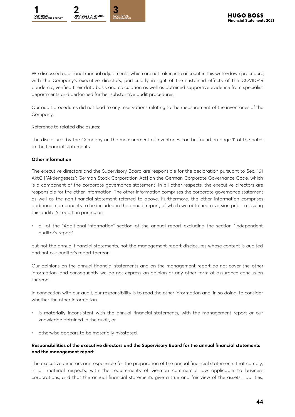

We discussed additional manual adjustments, which are not taken into account in this write-down procedure, with the Company's executive directors, particularly in light of the sustained effects of the COVID-19 pandemic, verified their data basis and calculation as well as obtained supportive evidence from specialist departments and performed further substantive audit procedures.

Our audit procedures did not lead to any reservations relating to the measurement of the inventories of the Company.

#### Reference to related disclosures:

The disclosures by the Company on the measurement of inventories can be found on page 11 of the notes to the financial statements.

#### **Other information**

The executive directors and the Supervisory Board are responsible for the declaration pursuant to Sec. 161 AktG ["Aktiengesetz": German Stock Corporation Act] on the German Corporate Governance Code, which is a component of the corporate governance statement. In all other respects, the executive directors are responsible for the other information. The other information comprises the corporate governance statement as well as the non-financial statement referred to above. Furthermore, the other information comprises additional components to be included in the annual report, of which we obtained a version prior to issuing this auditor's report, in particular:

• all of the "Additional information" section of the annual report excluding the section "Independent auditor's report"

but not the annual financial statements, not the management report disclosures whose content is audited and not our auditor's report thereon.

Our opinions on the annual financial statements and on the management report do not cover the other information, and consequently we do not express an opinion or any other form of assurance conclusion thereon.

In connection with our audit, our responsibility is to read the other information and, in so doing, to consider whether the other information

- is materially inconsistent with the annual financial statements, with the management report or our knowledge obtained in the audit, or
- otherwise appears to be materially misstated.

#### **Responsibilities of the executive directors and the Supervisory Board for the annual financial statements and the management report**

The executive directors are responsible for the preparation of the annual financial statements that comply, in all material respects, with the requirements of German commercial law applicable to business corporations, and that the annual financial statements give a true and fair view of the assets, liabilities,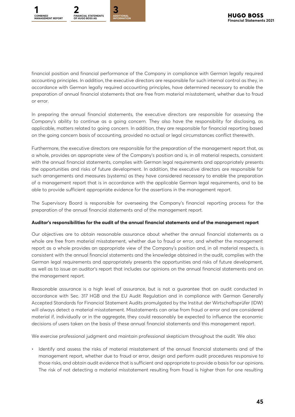

financial position and financial performance of the Company in compliance with German legally required accounting principles. In addition, the executive directors are responsible for such internal control as they, in accordance with German legally required accounting principles, have determined necessary to enable the preparation of annual financial statements that are free from material misstatement, whether due to fraud or error.

In preparing the annual financial statements, the executive directors are responsible for assessing the Company's ability to continue as a going concern. They also have the responsibility for disclosing, as applicable, matters related to going concern. In addition, they are responsible for financial reporting based on the going concern basis of accounting, provided no actual or legal circumstances conflict therewith.

Furthermore, the executive directors are responsible for the preparation of the management report that, as a whole, provides an appropriate view of the Company's position and is, in all material respects, consistent with the annual financial statements, complies with German legal requirements and appropriately presents the opportunities and risks of future development. In addition, the executive directors are responsible for such arrangements and measures (systems) as they have considered necessary to enable the preparation of a management report that is in accordance with the applicable German legal requirements, and to be able to provide sufficient appropriate evidence for the assertions in the management report.

The Supervisory Board is responsible for overseeing the Company's financial reporting process for the preparation of the annual financial statements and of the management report.

#### **Auditor's responsibilities for the audit of the annual financial statements and of the management report**

Our objectives are to obtain reasonable assurance about whether the annual financial statements as a whole are free from material misstatement, whether due to fraud or error, and whether the management report as a whole provides an appropriate view of the Company's position and, in all material respects, is consistent with the annual financial statements and the knowledge obtained in the audit, complies with the German legal requirements and appropriately presents the opportunities and risks of future development, as well as to issue an auditor's report that includes our opinions on the annual financial statements and on the management report.

Reasonable assurance is a high level of assurance, but is not a guarantee that an audit conducted in accordance with Sec. 317 HGB and the EU Audit Regulation and in compliance with German Generally Accepted Standards for Financial Statement Audits promulgated by the Institut der Wirtschaftsprüfer (IDW) will always detect a material misstatement. Misstatements can arise from fraud or error and are considered material if, individually or in the aggregate, they could reasonably be expected to influence the economic decisions of users taken on the basis of these annual financial statements and this management report.

We exercise professional judgment and maintain professional skepticism throughout the audit. We also:

• Identify and assess the risks of material misstatement of the annual financial statements and of the management report, whether due to fraud or error, design and perform audit procedures responsive to those risks, and obtain audit evidence that is sufficient and appropriate to provide a basis for our opinions. The risk of not detecting a material misstatement resulting from fraud is higher than for one resulting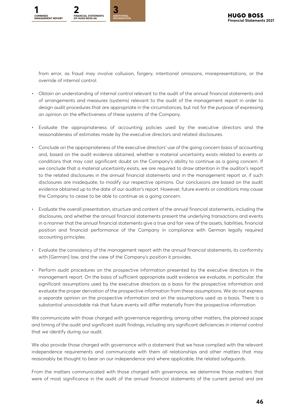

from error, as fraud may involve collusion, forgery, intentional omissions, misrepresentations, or the override of internal control.

- Obtain an understanding of internal control relevant to the audit of the annual financial statements and of arrangements and measures (systems) relevant to the audit of the management report in order to design audit procedures that are appropriate in the circumstances, but not for the purpose of expressing an opinion on the effectiveness of these systems of the Company.
- Evaluate the appropriateness of accounting policies used by the executive directors and the reasonableness of estimates made by the executive directors and related disclosures.
- Conclude on the appropriateness of the executive directors' use of the going concern basis of accounting and, based on the audit evidence obtained, whether a material uncertainty exists related to events or conditions that may cast significant doubt on the Company's ability to continue as a going concern. If we conclude that a material uncertainty exists, we are required to draw attention in the auditor's report to the related disclosures in the annual financial statements and in the management report or, if such disclosures are inadequate, to modify our respective opinions. Our conclusions are based on the audit evidence obtained up to the date of our auditor's report. However, future events or conditions may cause the Company to cease to be able to continue as a going concern.
- Evaluate the overall presentation, structure and content of the annual financial statements, including the disclosures, and whether the annual financial statements present the underlying transactions and events in a manner that the annual financial statements give a true and fair view of the assets, liabilities, financial position and financial performance of the Company in compliance with German legally required accounting principles.
- Evaluate the consistency of the management report with the annual financial statements, its conformity with [German] law, and the view of the Company's position it provides.
- Perform audit procedures on the prospective information presented by the executive directors in the management report. On the basis of sufficient appropriate audit evidence we evaluate, in particular, the significant assumptions used by the executive directors as a basis for the prospective information and evaluate the proper derivation of the prospective information from these assumptions. We do not express a separate opinion on the prospective information and on the assumptions used as a basis. There is a substantial unavoidable risk that future events will differ materially from the prospective information.

We communicate with those charged with governance regarding, among other matters, the planned scope and timing of the audit and significant audit findings, including any significant deficiencies in internal control that we identify during our audit.

We also provide those charaed with governance with a statement that we have complied with the relevant independence requirements and communicate with them all relationships and other matters that may reasonably be thought to bear on our independence and where applicable, the related safeguards.

From the matters communicated with those charged with governance, we determine those matters that were of most significance in the audit of the annual financial statements of the current period and are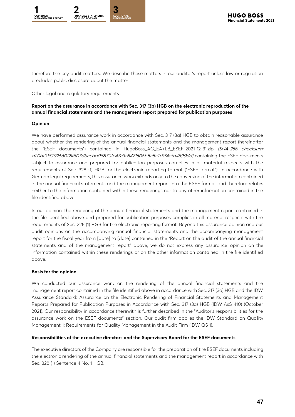

therefore the key audit matters. We describe these matters in our auditor's report unless law or regulation precludes public disclosure about the matter.

Other legal and regulatory requirements

#### **Report on the assurance in accordance with Sec. 317 (3b) HGB on the electronic reproduction of the annual financial statements and the management report prepared for publication purposes**

#### **Opinion**

We have performed assurance work in accordance with Sec. 317 (3a) HGB to obtain reasonable assurance about whether the rendering of the annual financial statements and the management report (hereinafter the "ESEF documents") contained in HugoBoss\_AG\_EA+LB\_ESEF-2021-12-31.zip (SHA-256 checksum: a20bf91879266028f803dbccbb08830fe47c3c8471506b5c5c7f584efb4899dd) containing the ESEF documents subject to assurance and prepared for publication purposes complies in all material respects with the requirements of Sec. 328 (1) HGB for the electronic reporting format ("ESEF format"). In accordance with German legal requirements, this assurance work extends only to the conversion of the information contained in the annual financial statements and the management report into the ESEF format and therefore relates neither to the information contained within these renderings nor to any other information contained in the file identified above.

In our opinion, the rendering of the annual financial statements and the management report contained in the file identified above and prepared for publication purposes complies in all material respects with the requirements of Sec. 328 (1) HGB for the electronic reporting format. Beyond this assurance opinion and our audit opinions on the accompanying annual financial statements and the accompanying management report for the fiscal year from [date] to [date] contained in the "Report on the audit of the annual financial statements and of the management report" above, we do not express any assurance opinion on the information contained within these renderings or on the other information contained in the file identified above.

#### **Basis for the opinion**

We conducted our assurance work on the rendering of the annual financial statements and the management report contained in the file identified above in accordance with Sec. 317 (3a) HGB and the IDW Assurance Standard: Assurance on the Electronic Rendering of Financial Statements and Management Reports Prepared for Publication Purposes in Accordance with Sec. 317 (3a) HGB (IDW AsS 410) (October 2021). Our responsibility in accordance therewith is further described in the "Auditor's responsibilities for the assurance work on the ESEF documents" section. Our audit firm applies the IDW Standard on Quality Management 1: Requirements for Quality Management in the Audit Firm (IDW QS 1).

#### **Responsibilities of the executive directors and the Supervisory Board for the ESEF documents**

The executive directors of the Company are responsible for the preparation of the ESEF documents including the electronic rendering of the annual financial statements and the management report in accordance with Sec. 328 (1) Sentence 4 No. 1 HGB.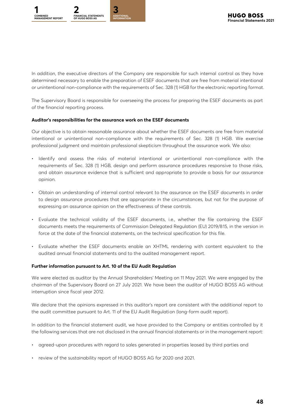

In addition, the executive directors of the Company are responsible for such internal control as they have determined necessary to enable the preparation of ESEF documents that are free from material intentional or unintentional non-compliance with the requirements of Sec. 328 (1) HGB for the electronic reporting format.

The Supervisory Board is responsible for overseeing the process for preparing the ESEF documents as part of the financial reporting process.

#### **Auditor's responsibilities for the assurance work on the ESEF documents**

Our objective is to obtain reasonable assurance about whether the ESEF documents are free from material intentional or unintentional non-compliance with the requirements of Sec. 328 (1) HGB. We exercise professional judgment and maintain professional skepticism throughout the assurance work. We also:

- Identify and assess the risks of material intentional or unintentional non-compliance with the requirements of Sec. 328 (1) HGB, design and perform assurance procedures responsive to those risks, and obtain assurance evidence that is sufficient and appropriate to provide a basis for our assurance opinion.
- Obtain an understanding of internal control relevant to the assurance on the ESEF documents in order to design assurance procedures that are appropriate in the circumstances, but not for the purpose of expressing an assurance opinion on the effectiveness of these controls.
- Evaluate the technical validity of the ESEF documents, i.e., whether the file containing the ESEF documents meets the requirements of Commission Delegated Regulation (EU) 2019/815, in the version in force at the date of the financial statements, on the technical specification for this file.
- Evaluate whether the ESEF documents enable an XHTML rendering with content equivalent to the audited annual financial statements and to the audited management report.

#### **Further information pursuant to Art. 10 of the EU Audit Regulation**

We were elected as auditor by the Annual Shareholders' Meeting on 11 May 2021. We were engaged by the chairman of the Supervisory Board on 27 July 2021. We have been the auditor of HUGO BOSS AG without interruption since fiscal year 2012.

We declare that the opinions expressed in this auditor's report are consistent with the additional report to the audit committee pursuant to Art. 11 of the EU Audit Regulation (long-form audit report).

In addition to the financial statement audit, we have provided to the Company or entities controlled by it the following services that are not disclosed in the annual financial statements or in the management report:

- agreed-upon procedures with regard to sales generated in properties leased by third parties and
- review of the sustainability report of HUGO BOSS AG for 2020 and 2021.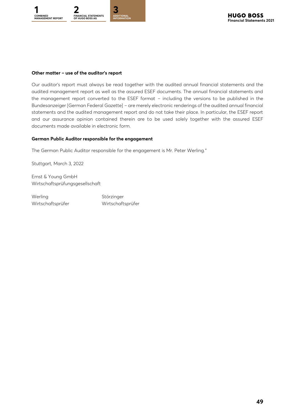

#### **Other matter – use of the auditor's report**

Our auditor's report must always be read together with the audited annual financial statements and the audited management report as well as the assured ESEF documents. The annual financial statements and the management report converted to the ESEF format – including the versions to be published in the Bundesanzeiger [German Federal Gazette] – are merely electronic renderings of the audited annual financial statements and the audited management report and do not take their place. In particular, the ESEF report and our assurance opinion contained therein are to be used solely together with the assured ESEF documents made available in electronic form.

#### **German Public Auditor responsible for the engagement**

The German Public Auditor responsible for the engagement is Mr. Peter Werling."

Stuttgart, March 3, 2022

Ernst & Young GmbH Wirtschaftsprüfungsgesellschaft

Werling Störzinger Wirtschaftsprüfer Wirtschaftsprüfer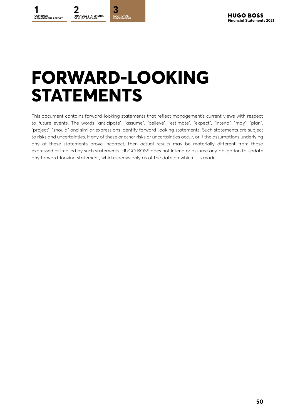# <span id="page-49-0"></span>**FORWARD-LOOKING STATEMENTS**

This document contains forward-looking statements that reflect management's current views with respect to future events. The words "anticipate", "assume", "believe", "estimate", "expect", "intend", "may", "plan", "project", "should" and similar expressions identify forward-looking statements. Such statements are subject to risks and uncertainties. If any of these or other risks or uncertainties occur, or if the assumptions underlying any of these statements prove incorrect, then actual results may be materially different from those expressed or implied by such statements. HUGO BOSS does not intend or assume any obligation to update any forward-looking statement, which speaks only as of the date on which it is made.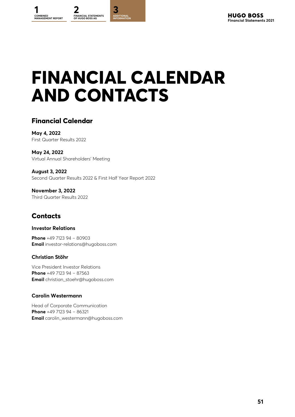# <span id="page-50-0"></span>**FINANCIAL CALENDAR AND CONTACTS**

# **Financial Calendar**

**May 4, 2022** First Quarter Results 2022

**May 24, 2022** Virtual Annual Shareholders' Meeting

**August 3, 2022** Second Quarter Results 2022 & First Half Year Report 2022

**November 3, 2022** Third Quarter Results 2022

# **Contacts**

#### **Investor Relations**

**Phone** +49 7123 94 – 80903 **Email** investor-relations@hugoboss.com

#### **Christian Stöhr**

Vice President Investor Relations **Phone** +49 7123 94 – 87563 **Email** christian\_stoehr@hugoboss.com

#### **Carolin Westermann**

Head of Corporate Communication **Phone** +49 7123 94 – 86321 **Email** carolin\_westermann@hugoboss.com